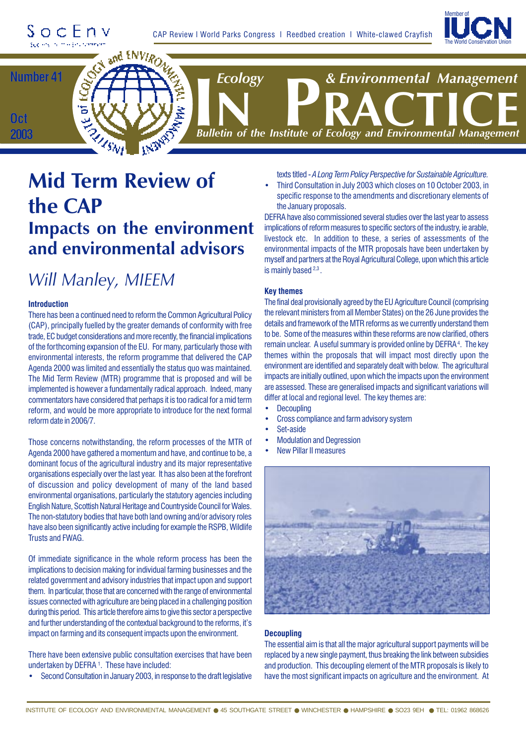CAP Review l World Parks Congress l Reedbed creation l White-clawed Crayfish



**Number 41**

SocEnv

**ROAD** 

ā

**Oct 2003**



### **Mid Term Review of the CAP Impacts on the environment and environmental advisors**

and ENVIRO

## *Will Manley, MIEEM*

### **Introduction**

There has been a continued need to reform the Common Agricultural Policy (CAP), principally fuelled by the greater demands of conformity with free trade, EC budget considerations and more recently, the financial implications of the forthcoming expansion of the EU. For many, particularly those with environmental interests, the reform programme that delivered the CAP Agenda 2000 was limited and essentially the status quo was maintained. The Mid Term Review (MTR) programme that is proposed and will be implemented is however a fundamentally radical approach. Indeed, many commentators have considered that perhaps it is too radical for a mid term reform, and would be more appropriate to introduce for the next formal reform date in 2006/7.

Those concerns notwithstanding, the reform processes of the MTR of Agenda 2000 have gathered a momentum and have, and continue to be, a dominant focus of the agricultural industry and its major representative organisations especially over the last year. It has also been at the forefront of discussion and policy development of many of the land based environmental organisations, particularly the statutory agencies including English Nature, Scottish Natural Heritage and Countryside Council for Wales. The non-statutory bodies that have both land owning and/or advisory roles have also been significantly active including for example the RSPB, Wildlife Trusts and FWAG.

Of immediate significance in the whole reform process has been the implications to decision making for individual farming businesses and the related government and advisory industries that impact upon and support them. In particular, those that are concerned with the range of environmental issues connected with agriculture are being placed in a challenging position during this period. This article therefore aims to give this sector a perspective and further understanding of the contextual background to the reforms, it's impact on farming and its consequent impacts upon the environment.

There have been extensive public consultation exercises that have been undertaken by DEFRA<sup>1</sup>. These have included:

• Second Consultation in January 2003, in response to the draft legislative

texts titled - *A Long Term Policy Perspective for Sustainable Agriculture.* • Third Consultation in July 2003 which closes on 10 October 2003, in specific response to the amendments and discretionary elements of the January proposals.

DEFRA have also commissioned several studies over the last year to assess implications of reform measures to specific sectors of the industry, ie arable, livestock etc. In addition to these, a series of assessments of the environmental impacts of the MTR proposals have been undertaken by myself and partners at the Royal Agricultural College, upon which this article is mainly based 2,3.

### **Key themes**

The final deal provisionally agreed by the EU Agriculture Council (comprising the relevant ministers from all Member States) on the 26 June provides the details and framework of the MTR reforms as we currently understand them to be. Some of the measures within these reforms are now clarified, others remain unclear. A useful summary is provided online by DEFRA 4. The key themes within the proposals that will impact most directly upon the environment are identified and separately dealt with below. The agricultural impacts are initially outlined, upon which the impacts upon the environment are assessed. These are generalised impacts and significant variations will differ at local and regional level. The key themes are:

- **Decoupling**
- Cross compliance and farm advisory system
- Set-aside
- Modulation and Degression
- **New Pillar II measures**



### **Decoupling**

The essential aim is that all the major agricultural support payments will be replaced by a new single payment, thus breaking the link between subsidies and production. This decoupling element of the MTR proposals is likely to have the most significant impacts on agriculture and the environment. At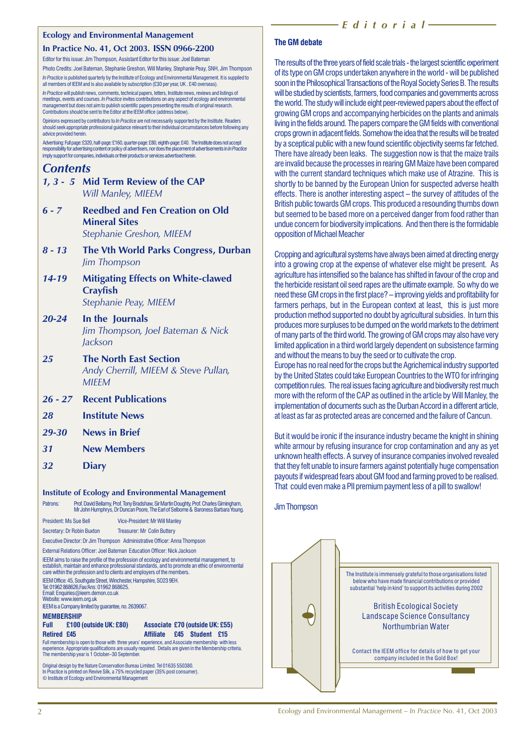### **Ecology and Environmental Management**

### **In Practice No. 41, Oct 2003. ISSN 0966-2200**

Editor for this issue: Jim Thompson, Assistant Editor for this issue: Joel Bateman

Photo Credits: Joel Bateman, Stephanie Greshon, Will Manley, Stephanie Peay, SNH, Jim Thompson *In Practice* is published quarterly by the Institute of Ecology and Environmental Management. It is supplied to all members of IEEM and is also available by subscription (£30 per year, UK . £40 overseas).

*In Practice*will publish news, comments, technical papers, letters, Institute news, reviews and listings of meetings, events and courses. *In Practice* invites contributions on any aspect of ecology and environmental management but does not aim to publish scientific papers presenting the results of original research. Contributions should be sent to the Editor at the IEEM office (address below).

Opinions expressed by contributors to *In Practice* are not necessarily supported by the Institute. Readers should seek appropriate professional quidance relevant to their individual circumstances before following any advice provided herein.

Advertising: Full page: £320, half-page: £160, quarter-page: £80, eighth-page: £40. The Institute does not accept<br>responsibility for advertising content or policy of advertisers, nor does the placement of advertisements in imply support for companies, individuals or their products or services advertised herein.

### *Contents*

- *1, 3 5* **Mid Term Review of the CAP** *Will Manley, MIEEM*
- *6 7* **Reedbed and Fen Creation on Old Mineral Sites** *Stephanie Greshon, MIEEM*
- *8 13* **The Vth World Parks Congress, Durban** *Jim Thompson*
- *14-19* **Mitigating Effects on White-clawed Crayfish** *Stephanie Peay, MIEEM*
- *20-24* **In the Journals** *Jim Thompson, Joel Bateman & Nick Jackson*
- *25* **The North East Section** *Andy Cherrill, MIEEM & Steve Pullan, MIEEM*
- *26 27* **Recent Publications**
- *28* **Institute News**
- *29-30* **News in Brief**
- *31* **New Members**
- *32* **Diary**

### **Institute of Ecology and Environmental Management**

Patrons: Prof. David Bellamy, Prof. Tony Bradshaw, Sir Martin Doughty, Prof. Charles Gimingham, Mr John Humphrys, Dr Duncan Poore, The Earl of Selborne & Baroness Barbara Young.

President: Ms Sue Bell Vice-President: Mr Will Manley

Secretary: Dr Robin Buxton Treasurer: Mr Colin Buttery

Executive Director: Dr Jim Thompson Administrative Officer: Anna Thompson

External Relations Officer: Joel Bateman Education Officer: Nick Jackson

IEEM aims to raise the profile of the profession of ecology and environmental management, to establish, maintain and enhance professional standards, and to promote an ethic of environmental care within the profession and to clients and employers of the members.

IEEM Office: 45, Southgate Street, Winchester, Hampshire, SO23 9EH. Tel: 01962 868626,Fax/Ans: 01962 868625. Email: Enquiries@ieem.demon.co.uk

Website: www.ieem.org.uk

IEEM is a Company limited by guarantee, no. 2639067.

### **MEMBERSHIP**

**Full £100 (outside UK: £80) Associate £70 (outside UK: £55)**

**Retired £45 Affiliate £45 Student £15**

Full membership is open to those with three years' experience, and Associate membership with less experience. Appropriate qualifications are usually required. Details are given in the Membership criteria. The membership year is 1 October–30 September.

Original design by the Nature Conservation Bureau Limited. Tel 01635 550380. In Practice is printed on Revive Silk, a 75% recycled paper (35% post consumer). © Institute of Ecology and Environmental Management

### **The GM debate**

The results of the three years of field scale trials - the largest scientific experiment of its type on GM crops undertaken anywhere in the world - will be published soon in the Philosophical Transactions of the Royal Society Series B. The results will be studied by scientists, farmers, food companies and governments across the world. The study will include eight peer-reviewed papers about the effect of growing GM crops and accompanying herbicides on the plants and animals living in the fields around. The papers compare the GM fields with conventional crops grown in adjacent fields. Somehow the idea that the results will be treated by a sceptical public with a new found scientific objectivity seems far fetched. There have already been leaks. The suggestion now is that the maize trails are invalid because the processes in rearing GM Maize have been compared with the current standard techniques which make use of Atrazine. This is shortly to be banned by the European Union for suspected adverse health effects. There is another interesting aspect – the survey of attitudes of the British public towards GM crops. This produced a resounding thumbs down but seemed to be based more on a perceived danger from food rather than undue concern for biodiversity implications. And then there is the formidable opposition of Michael Meacher

Cropping and agricultural systems have always been aimed at directing energy into a growing crop at the expense of whatever else might be present. As agriculture has intensified so the balance has shifted in favour of the crop and the herbicide resistant oil seed rapes are the ultimate example. So why do we need these GM crops in the first place? – improving yields and profitability for farmers perhaps, but in the European context at least, this is just more production method supported no doubt by agricultural subsidies. In turn this produces more surpluses to be dumped on the world markets to the detriment of many parts of the third world. The growing of GM crops may also have very limited application in a third world largely dependent on subsistence farming and without the means to buy the seed or to cultivate the crop.

Europe has no real need for the crops but the Agrichemical industry supported by the United States could take European Countries to the WTO for infringing competition rules. The real issues facing agriculture and biodiversity rest much more with the reform of the CAP as outlined in the article by Will Manley, the implementation of documents such as the Durban Accord in a different article, at least as far as protected areas are concerned and the failure of Cancun.

But it would be ironic if the insurance industry became the knight in shining white armour by refusing insurance for crop contamination and any as yet unknown health effects. A survey of insurance companies involved revealed that they felt unable to insure farmers against potentially huge compensation payouts if widespread fears about GM food and farming proved to be realised. That could even make a PII premium payment less of a pill to swallow!

### Jim Thompson

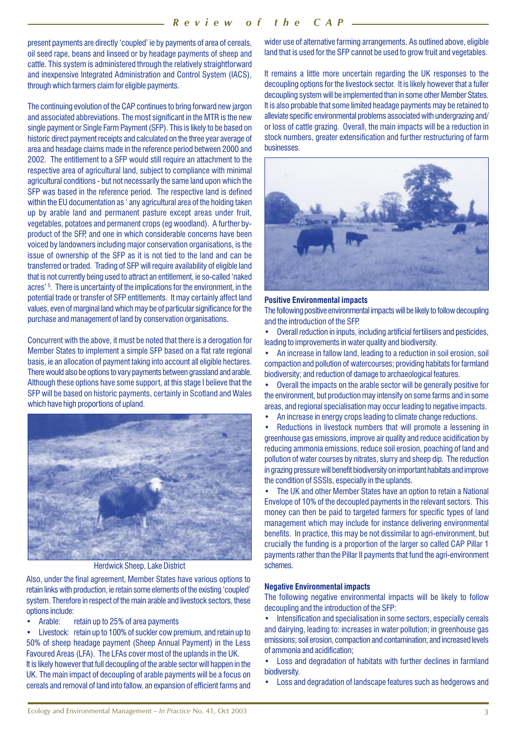present payments are directly 'coupled' ie by payments of area of cereals, oil seed rape, beans and linseed or by headage payments of sheep and cattle. This system is administered through the relatively straightforward and inexpensive Integrated Administration and Control System (IACS), through which farmers claim for eligible payments.

The continuing evolution of the CAP continues to bring forward new jargon and associated abbreviations. The most significant in the MTR is the new single payment or Single Farm Payment (SFP). This is likely to be based on historic direct payment receipts and calculated on the three year average of area and headage claims made in the reference period between 2000 and 2002. The entitlement to a SFP would still require an attachment to the respective area of agricultural land, subject to compliance with minimal agricultural conditions - but not necessarily the same land upon which the SFP was based in the reference period. The respective land is defined within the EU documentation as ' any agricultural area of the holding taken up by arable land and permanent pasture except areas under fruit, vegetables, potatoes and permanent crops (eg woodland). A further byproduct of the SFP, and one in which considerable concerns have been voiced by landowners including major conservation organisations, is the issue of ownership of the SFP as it is not tied to the land and can be transferred or traded. Trading of SFP will require availability of eligible land that is not currently being used to attract an entitlement, ie so-called 'naked acres' 5 . There is uncertainty of the implications for the environment, in the potential trade or transfer of SFP entitlements. It may certainly affect land values, even of marginal land which may be of particular significance for the purchase and management of land by conservation organisations.

Concurrent with the above, it must be noted that there is a derogation for Member States to implement a simple SFP based on a flat rate regional basis, ie an allocation of payment taking into account all eligible hectares. There would also be options to vary payments between grassland and arable. Although these options have some support, at this stage I believe that the SFP will be based on historic payments, certainly in Scotland and Wales which have high proportions of upland.



Herdwick Sheep, Lake District

Also, under the final agreement, Member States have various options to retain links with production, ie retain some elements of the existing 'coupled' system. Therefore in respect of the main arable and livestock sectors, these options include:

Arable: retain up to 25% of area payments

• Livestock: retain up to 100% of suckler cow premium, and retain up to 50% of sheep headage payment (Sheep Annual Payment) in the Less Favoured Areas (LFA). The LFAs cover most of the uplands in the UK. It is likely however that full decoupling of the arable sector will happen in the

UK. The main impact of decoupling of arable payments will be a focus on cereals and removal of land into fallow, an expansion of efficient farms and

wider use of alternative farming arrangements. As outlined above, eligible land that is used for the SFP cannot be used to grow fruit and vegetables.

It remains a little more uncertain regarding the UK responses to the decoupling options for the livestock sector. It is likely however that a fuller decoupling system will be implemented than in some other Member States. It is also probable that some limited headage payments may be retained to alleviate specific environmental problems associated with undergrazing and/ or loss of cattle grazing. Overall, the main impacts will be a reduction in stock numbers, greater extensification and further restructuring of farm businesses.



#### **Positive Environmental impacts**

The following positive environmental impacts will be likely to follow decoupling and the introduction of the SFP.

• Overall reduction in inputs, including artificial fertilisers and pesticides, leading to improvements in water quality and biodiversity.

• An increase in fallow land, leading to a reduction in soil erosion, soil compaction and pollution of watercourses; providing habitats for farmland biodiversity; and reduction of damage to archaeological features.

• Overall the impacts on the arable sector will be generally positive for the environment, but production may intensify on some farms and in some areas, and regional specialisation may occur leading to negative impacts.

- An increase in energy crops leading to climate change reductions.
- Reductions in livestock numbers that will promote a lessening in greenhouse gas emissions, improve air quality and reduce acidification by reducing ammonia emissions, reduce soil erosion, poaching of land and pollution of water courses by nitrates, slurry and sheep dip. The reduction in grazing pressure will benefit biodiversity on important habitats and improve the condition of SSSIs, especially in the uplands.

• The UK and other Member States have an option to retain a National Envelope of 10% of the decoupled payments in the relevant sectors. This money can then be paid to targeted farmers for specific types of land management which may include for instance delivering environmental benefits. In practice, this may be not dissimilar to agri-environment, but crucially the funding is a proportion of the larger so called CAP Pillar 1 payments rather than the Pillar II payments that fund the agri-environment schemes.

### **Negative Environmental impacts**

The following negative environmental impacts will be likely to follow decoupling and the introduction of the SFP:

• Intensification and specialisation in some sectors, especially cereals and dairying, leading to: increases in water pollution; in greenhouse gas emissions; soil erosion, compaction and contamination; and increased levels of ammonia and acidification;

Loss and degradation of habitats with further declines in farmland biodiversity.

• Loss and degradation of landscape features such as hedgerows and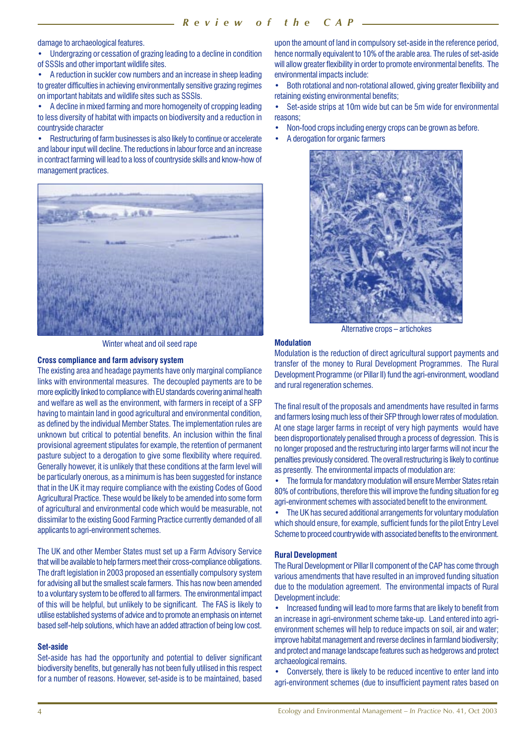damage to archaeological features.

• Undergrazing or cessation of grazing leading to a decline in condition of SSSIs and other important wildlife sites.

• A reduction in suckler cow numbers and an increase in sheep leading to greater difficulties in achieving environmentally sensitive grazing regimes on important habitats and wildlife sites such as SSSIs.

• A decline in mixed farming and more homogeneity of cropping leading to less diversity of habitat with impacts on biodiversity and a reduction in countryside character

• Restructuring of farm businesses is also likely to continue or accelerate and labour input will decline. The reductions in labour force and an increase in contract farming will lead to a loss of countryside skills and know-how of management practices.



Winter wheat and oil seed rape **Modulation** 

#### **Cross compliance and farm advisory system**

The existing area and headage payments have only marginal compliance links with environmental measures. The decoupled payments are to be more explicitly linked to compliance with EU standards covering animal health and welfare as well as the environment, with farmers in receipt of a SFP having to maintain land in good agricultural and environmental condition, as defined by the individual Member States. The implementation rules are unknown but critical to potential benefits. An inclusion within the final provisional agreement stipulates for example, the retention of permanent pasture subject to a derogation to give some flexibility where required. Generally however, it is unlikely that these conditions at the farm level will be particularly onerous, as a minimum is has been suggested for instance that in the UK it may require compliance with the existing Codes of Good Agricultural Practice. These would be likely to be amended into some form of agricultural and environmental code which would be measurable, not dissimilar to the existing Good Farming Practice currently demanded of all applicants to agri-environment schemes.

The UK and other Member States must set up a Farm Advisory Service that will be available to help farmers meet their cross-compliance obligations. The draft legislation in 2003 proposed an essentially compulsory system for advising all but the smallest scale farmers. This has now been amended to a voluntary system to be offered to all farmers. The environmental impact of this will be helpful, but unlikely to be significant. The FAS is likely to utilise established systems of advice and to promote an emphasis on internet based self-help solutions, which have an added attraction of being low cost.

#### **Set-aside**

Set-aside has had the opportunity and potential to deliver significant biodiversity benefits, but generally has not been fully utilised in this respect for a number of reasons. However, set-aside is to be maintained, based upon the amount of land in compulsory set-aside in the reference period, hence normally equivalent to 10% of the arable area. The rules of set-aside will allow greater flexibility in order to promote environmental benefits. The environmental impacts include:

• Both rotational and non-rotational allowed, giving greater flexibility and retaining existing environmental benefits;

• Set-aside strips at 10m wide but can be 5m wide for environmental reasons;

- Non-food crops including energy crops can be grown as before.
- A derogation for organic farmers



Alternative crops – artichokes

Modulation is the reduction of direct agricultural support payments and transfer of the money to Rural Development Programmes. The Rural Development Programme (or Pillar II) fund the agri-environment, woodland and rural regeneration schemes.

The final result of the proposals and amendments have resulted in farms and farmers losing much less of their SFP through lower rates of modulation. At one stage larger farms in receipt of very high payments would have been disproportionately penalised through a process of degression. This is no longer proposed and the restructuring into larger farms will not incur the penalties previously considered. The overall restructuring is likely to continue as presently. The environmental impacts of modulation are:

• The formula for mandatory modulation will ensure Member States retain 80% of contributions, therefore this will improve the funding situation for eg agri-environment schemes with associated benefit to the environment.

• The UK has secured additional arrangements for voluntary modulation which should ensure, for example, sufficient funds for the pilot Entry Level Scheme to proceed countrywide with associated benefits to the environment.

#### **Rural Development**

The Rural Development or Pillar II component of the CAP has come through various amendments that have resulted in an improved funding situation due to the modulation agreement. The environmental impacts of Rural Development include:

• Increased funding will lead to more farms that are likely to benefit from an increase in agri-environment scheme take-up. Land entered into agrienvironment schemes will help to reduce impacts on soil, air and water; improve habitat management and reverse declines in farmland biodiversity; and protect and manage landscape features such as hedgerows and protect archaeological remains.

• Conversely, there is likely to be reduced incentive to enter land into agri-environment schemes (due to insufficient payment rates based on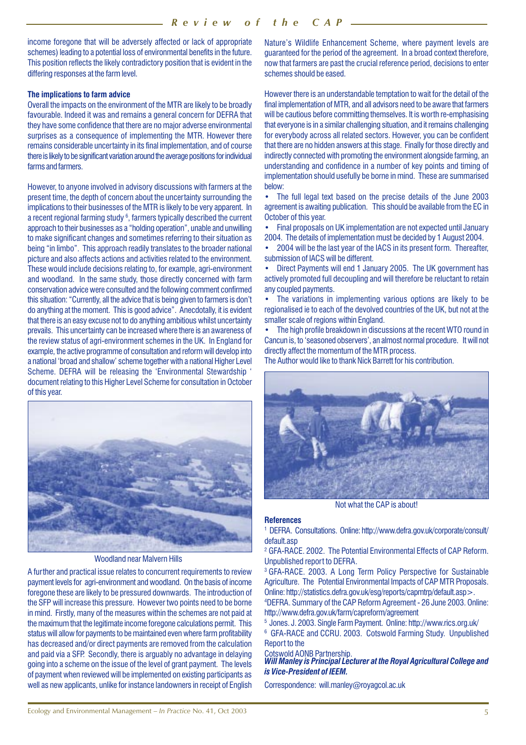income foregone that will be adversely affected or lack of appropriate schemes) leading to a potential loss of environmental benefits in the future. This position reflects the likely contradictory position that is evident in the differing responses at the farm level.

### **The implications to farm advice**

Overall the impacts on the environment of the MTR are likely to be broadly favourable. Indeed it was and remains a general concern for DEFRA that they have some confidence that there are no major adverse environmental surprises as a consequence of implementing the MTR. However there remains considerable uncertainty in its final implementation, and of course there is likely to be significant variation around the average positions for individual farms and farmers.

However, to anyone involved in advisory discussions with farmers at the present time, the depth of concern about the uncertainty surrounding the implications to their businesses of the MTR is likely to be very apparent. In a recent regional farming study  $^6$ , farmers typically described the current approach to their businesses as a "holding operation", unable and unwilling to make significant changes and sometimes referring to their situation as being "in limbo". This approach readily translates to the broader national picture and also affects actions and activities related to the environment. These would include decisions relating to, for example, agri-environment and woodland. In the same study, those directly concerned with farm conservation advice were consulted and the following comment confirmed this situation: "Currently, all the advice that is being given to farmers is don't do anything at the moment. This is good advice". Anecdotally, it is evident that there is an easy excuse not to do anything ambitious whilst uncertainty prevails. This uncertainty can be increased where there is an awareness of the review status of agri-environment schemes in the UK. In England for example, the active programme of consultation and reform will develop into a national 'broad and shallow' scheme together with a national Higher Level Scheme. DEFRA will be releasing the 'Environmental Stewardship ' document relating to this Higher Level Scheme for consultation in October of this year.



Woodland near Malvern Hills

A further and practical issue relates to concurrent requirements to review payment levels for agri-environment and woodland. On the basis of income foregone these are likely to be pressured downwards. The introduction of the SFP will increase this pressure. However two points need to be borne in mind. Firstly, many of the measures within the schemes are not paid at the maximum that the legitimate income foregone calculations permit. This status will allow for payments to be maintained even where farm profitability has decreased and/or direct payments are removed from the calculation and paid via a SFP. Secondly, there is arguably no advantage in delaying going into a scheme on the issue of the level of grant payment. The levels of payment when reviewed will be implemented on existing participants as well as new applicants, unlike for instance landowners in receipt of English

Nature's Wildlife Enhancement Scheme, where payment levels are guaranteed for the period of the agreement. In a broad context therefore, now that farmers are past the crucial reference period, decisions to enter schemes should be eased.

However there is an understandable temptation to wait for the detail of the final implementation of MTR, and all advisors need to be aware that farmers will be cautious before committing themselves. It is worth re-emphasising that everyone is in a similar challenging situation, and it remains challenging for everybody across all related sectors. However, you can be confident that there are no hidden answers at this stage. Finally for those directly and indirectly connected with promoting the environment alongside farming, an understanding and confidence in a number of key points and timing of implementation should usefully be borne in mind. These are summarised below:

• The full legal text based on the precise details of the June 2003 agreement is awaiting publication. This should be available from the EC in October of this year.

• Final proposals on UK implementation are not expected until January 2004. The details of implementation must be decided by 1 August 2004.

• 2004 will be the last year of the IACS in its present form. Thereafter, submission of IACS will be different.

• Direct Payments will end 1 January 2005. The UK government has actively promoted full decoupling and will therefore be reluctant to retain any coupled payments.

The variations in implementing various options are likely to be regionalised ie to each of the devolved countries of the UK, but not at the smaller scale of regions within England.

The high profile breakdown in discussions at the recent WTO round in Cancun is, to 'seasoned observers', an almost normal procedure. It will not directly affect the momentum of the MTR process.

The Author would like to thank Nick Barrett for his contribution.



Not what the CAP is about!

### **References**

<sup>1</sup> DEFRA. Consultations. Online: http://www.defra.gov.uk/corporate/consult/ default.asp

2 GFA-RACE. 2002. The Potential Environmental Effects of CAP Reform. Unpublished report to DEFRA.

3 GFA-RACE. 2003. A Long Term Policy Perspective for Sustainable Agriculture. The Potential Environmental Impacts of CAP MTR Proposals. Online: http://statistics.defra.gov.uk/esg/reports/capmtrp/default.asp>.

4 DEFRA. Summary of the CAP Reform Agreement - 26 June 2003. Online: http://www.defra.gov.uk/farm/capreform/agreement

<sup>5</sup>Jones. J. 2003. Single Farm Payment. Online: http://www.rics.org.uk/

<sup>6</sup> GFA-RACE and CCRU. 2003. Cotswold Farming Study. Unpublished Report to the

#### Cotswold AONB Partnership.

*Will Manley is Principal Lecturer at the Royal Agricultural College and is Vice-President of IEEM.*

Correspondence: will.manley@royagcol.ac.uk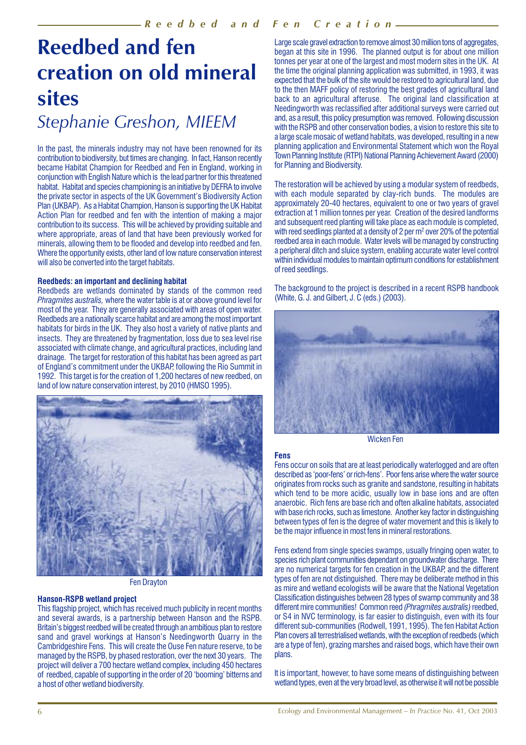## **Reedbed and fen creation on old mineral sites** *Stephanie Greshon, MIEEM*

In the past, the minerals industry may not have been renowned for its contribution to biodiversity, but times are changing. In fact, Hanson recently became Habitat Champion for Reedbed and Fen in England, working in conjunction with English Nature which is the lead partner for this threatened habitat. Habitat and species championing is an initiative by DEFRA to involve the private sector in aspects of the UK Government's Biodiversity Action Plan (UKBAP). As a Habitat Champion, Hanson is supporting the UK Habitat Action Plan for reedbed and fen with the intention of making a major contribution to its success. This will be achieved by providing suitable and where appropriate, areas of land that have been previously worked for minerals, allowing them to be flooded and develop into reedbed and fen. Where the opportunity exists, other land of low nature conservation interest will also be converted into the target habitats.

### **Reedbeds: an important and declining habitat**

Reedbeds are wetlands dominated by stands of the common reed *Phragmites australis,* where the water table is at or above ground level for most of the year. They are generally associated with areas of open water. Reedbeds are a nationally scarce habitat and are among the most important habitats for birds in the UK. They also host a variety of native plants and insects. They are threatened by fragmentation, loss due to sea level rise associated with climate change, and agricultural practices, including land drainage. The target for restoration of this habitat has been agreed as part of England's commitment under the UKBAP, following the Rio Summit in 1992. This target is for the creation of 1,200 hectares of new reedbed, on land of low nature conservation interest, by 2010 (HMSO 1995).



Fen Drayton

### **Hanson-RSPB wetland project**

This flagship project, which has received much publicity in recent months and several awards, is a partnership between Hanson and the RSPB. Britain's biggest reedbed will be created through an ambitious plan to restore sand and gravel workings at Hanson's Needingworth Quarry in the Cambridgeshire Fens. This will create the Ouse Fen nature reserve, to be managed by the RSPB, by phased restoration, over the next 30 years. The project will deliver a 700 hectare wetland complex, including 450 hectares of reedbed, capable of supporting in the order of 20 'booming' bitterns and a host of other wetland biodiversity.

Large scale gravel extraction to remove almost 30 million tons of aggregates, began at this site in 1996. The planned output is for about one million tonnes per year at one of the largest and most modern sites in the UK. At the time the original planning application was submitted, in 1993, it was expected that the bulk of the site would be restored to agricultural land, due to the then MAFF policy of restoring the best grades of agricultural land back to an agricultural afteruse. The original land classification at Needingworth was reclassified after additional surveys were carried out and, as a result, this policy presumption was removed. Following discussion with the RSPB and other conservation bodies, a vision to restore this site to a large scale mosaic of wetland habitats, was developed, resulting in a new planning application and Environmental Statement which won the Royal Town Planning Institute (RTPI) National Planning Achievement Award (2000) for Planning and Biodiversity.

The restoration will be achieved by using a modular system of reedbeds, with each module separated by clay-rich bunds. The modules are approximately 20-40 hectares, equivalent to one or two years of gravel extraction at 1 million tonnes per year. Creation of the desired landforms and subsequent reed planting will take place as each module is completed, with reed seedlings planted at a density of 2 per m<sup>2</sup> over 20% of the potential reedbed area in each module. Water levels will be managed by constructing a peripheral ditch and sluice system, enabling accurate water level control within individual modules to maintain optimum conditions for establishment of reed seedlings.

The background to the project is described in a recent RSPB handbook (White, G. J. and Gilbert, J. C (eds.) (2003).



Wicken Fen

### **Fens**

Fens occur on soils that are at least periodically waterlogged and are often described as 'poor-fens' or rich-fens'. Poor fens arise where the water source originates from rocks such as granite and sandstone, resulting in habitats which tend to be more acidic, usually low in base ions and are often anaerobic. Rich fens are base rich and often alkaline habitats, associated with base rich rocks, such as limestone. Another key factor in distinguishing between types of fen is the degree of water movement and this is likely to be the major influence in most fens in mineral restorations.

Fens extend from single species swamps, usually fringing open water, to species rich plant communities dependant on groundwater discharge. There are no numerical targets for fen creation in the UKBAP, and the different types of fen are not distinguished. There may be deliberate method in this as mire and wetland ecologists will be aware that the National Vegetation Classification distinguishes between 28 types of swamp community and 38 different mire communities! Common reed *(Phragmites australis)*reedbed, or S4 in NVC terminology, is far easier to distinguish, even with its four different sub-communities (Rodwell, 1991, 1995). The fen Habitat Action Plan covers all terrestrialised wetlands, with the exception of reedbeds (which are a type of fen), grazing marshes and raised bogs, which have their own plans.

It is important, however, to have some means of distinguishing between wetland types, even at the very broad level, as otherwise it will not be possible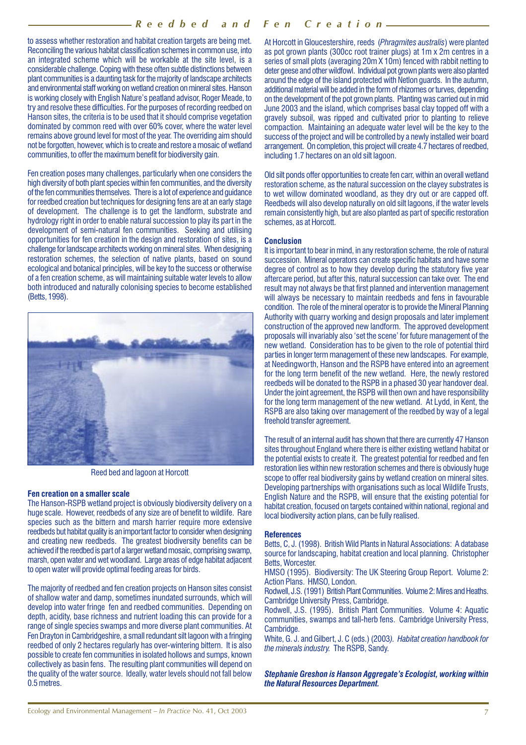to assess whether restoration and habitat creation targets are being met. Reconciling the various habitat classification schemes in common use, into an integrated scheme which will be workable at the site level, is a considerable challenge. Coping with these often subtle distinctions between plant communities is a daunting task for the majority of landscape architects and environmental staff working on wetland creation on mineral sites. Hanson is working closely with English Nature's peatland advisor, Roger Meade, to try and resolve these difficulties. For the purposes of recording reedbed on Hanson sites, the criteria is to be used that it should comprise vegetation dominated by common reed with over 60% cover, where the water level remains above ground level for most of the year. The overriding aim should not be forgotten, however, which is to create and restore a mosaic of wetland communities, to offer the maximum benefit for biodiversity gain.

Fen creation poses many challenges, particularly when one considers the high diversity of both plant species within fen communities, and the diversity of the fen communities themselves. There is a lot of experience and guidance for reedbed creation but techniques for designing fens are at an early stage of development. The challenge is to get the landform, substrate and hydrology right in order to enable natural succession to play its part in the development of semi-natural fen communities. Seeking and utilising opportunities for fen creation in the design and restoration of sites, is a challenge for landscape architects working on mineral sites. When designing restoration schemes, the selection of native plants, based on sound ecological and botanical principles, will be key to the success or otherwise of a fen creation scheme, as will maintaining suitable water levels to allow both introduced and naturally colonising species to become established (Betts, 1998).



Reed bed and lagoon at Horcott

### **Fen creation on a smaller scale**

The Hanson-RSPB wetland project is obviously biodiversity delivery on a huge scale. However, reedbeds of any size are of benefit to wildlife. Rare species such as the bittern and marsh harrier require more extensive reedbeds but habitat quality is an important factor to consider when designing and creating new reedbeds. The greatest biodiversity benefits can be achieved if the reedbed is part of a larger wetland mosaic, comprising swamp, marsh, open water and wet woodland. Large areas of edge habitat adjacent to open water will provide optimal feeding areas for birds.

The majority of reedbed and fen creation projects on Hanson sites consist of shallow water and damp, sometimes inundated surrounds, which will develop into water fringe fen and reedbed communities. Depending on depth, acidity, base richness and nutrient loading this can provide for a range of single species swamps and more diverse plant communities. At Fen Drayton in Cambridgeshire, a small redundant silt lagoon with a fringing reedbed of only 2 hectares regularly has over-wintering bittern. It is also possible to create fen communities in isolated hollows and sumps, known collectively as basin fens. The resulting plant communities will depend on the quality of the water source. Ideally, water levels should not fall below 0.5 metres.

At Horcott in Gloucestershire, reeds (*Phragmites australis*) were planted as pot grown plants (300cc root trainer plugs) at 1m x 2m centres in a series of small plots (averaging 20m X 10m) fenced with rabbit netting to deter geese and other wildfowl. Individual pot grown plants were also planted around the edge of the island protected with Netlon guards. In the autumn, additional material will be added in the form of rhizomes or turves, depending on the development of the pot grown plants. Planting was carried out in mid June 2003 and the island, which comprises basal clay topped off with a gravely subsoil, was ripped and cultivated prior to planting to relieve compaction. Maintaining an adequate water level will be the key to the success of the project and will be controlled by a newly installed weir board arrangement. On completion, this project will create 4.7 hectares of reedbed, including 1.7 hectares on an old silt lagoon.

Old silt ponds offer opportunities to create fen carr, within an overall wetland restoration scheme, as the natural succession on the clayey substrates is to wet willow dominated woodland, as they dry out or are capped off. Reedbeds will also develop naturally on old silt lagoons, if the water levels remain consistently high, but are also planted as part of specific restoration schemes, as at Horcott.

### **Conclusion**

It is important to bear in mind, in any restoration scheme, the role of natural succession. Mineral operators can create specific habitats and have some degree of control as to how they develop during the statutory five year aftercare period, but after this, natural succession can take over. The end result may not always be that first planned and intervention management will always be necessary to maintain reedbeds and fens in favourable condition. The role of the mineral operator is to provide the Mineral Planning Authority with quarry working and design proposals and later implement construction of the approved new landform. The approved development proposals will invariably also 'set the scene' for future management of the new wetland. Consideration has to be given to the role of potential third parties in longer term management of these new landscapes. For example, at Needingworth, Hanson and the RSPB have entered into an agreement for the long term benefit of the new wetland. Here, the newly restored reedbeds will be donated to the RSPB in a phased 30 year handover deal. Under the joint agreement, the RSPB will then own and have responsibility for the long term management of the new wetland. At Lydd, in Kent, the RSPB are also taking over management of the reedbed by way of a legal freehold transfer agreement.

The result of an internal audit has shown that there are currently 47 Hanson sites throughout England where there is either existing wetland habitat or the potential exists to create it. The greatest potential for reedbed and fen restoration lies within new restoration schemes and there is obviously huge scope to offer real biodiversity gains by wetland creation on mineral sites. Developing partnerships with organisations such as local Wildlife Trusts, English Nature and the RSPB, will ensure that the existing potential for habitat creation, focused on targets contained within national, regional and local biodiversity action plans, can be fully realised.

### **References**

Betts, C, J. (1998). British Wild Plants in Natural Associations: A database source for landscaping, habitat creation and local planning. Christopher Betts, Worcester.

HMSO (1995). Biodiversity: The UK Steering Group Report. Volume 2: Action Plans. HMSO, London.

Rodwell, J.S. (1991) British Plant Communities. Volume 2: Mires and Heaths. Cambridge University Press, Cambridge.

Rodwell, J.S. (1995). British Plant Communities. Volume 4: Aquatic communities, swamps and tall-herb fens. Cambridge University Press, Cambridge.

White, G. J. and Gilbert, J. C (eds.) (2003*). Habitat creation handbook for the minerals industry.* The RSPB, Sandy.

*Stephanie Greshon is Hanson Aggregate's Ecologist, working within the Natural Resources Department.*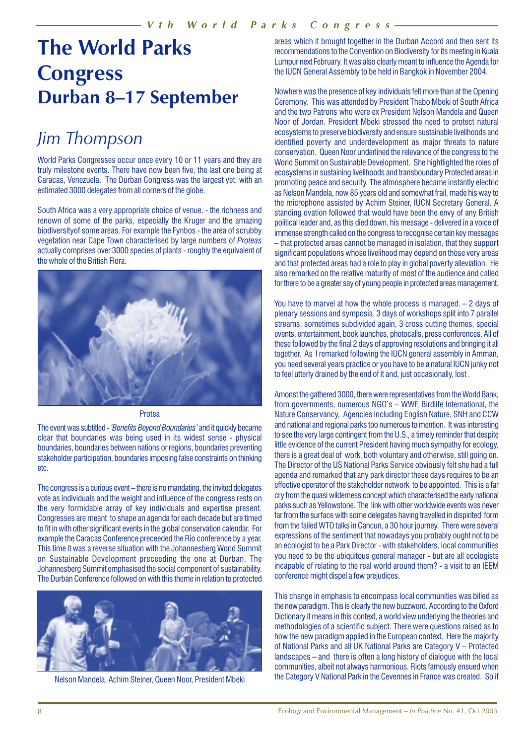## **The World Parks Congress Durban 8–17 September**

### *Jim Thompson*

World Parks Congresses occur once every 10 or 11 years and they are truly milestone events. There have now been five, the last one being at Caracas, Venezuela. The Durban Congress was the largest yet, with an estimated 3000 delegates from all corners of the globe.

South Africa was a very appropriate choice of venue. - the richness and renown of some of the parks, especially the Kruger and the amazing biodiversityof some areas. For example the Fynbos - the area of scrubby vegetation near Cape Town characterised by large numbers of *Proteas* actually comprises over 3000 species of plants - roughly the equivalent of the whole of the British Flora.



#### Protea

The event was subtitled - *'Benefits Beyond Boundaries'* and it quickly became clear that boundaries was being used in its widest sense - physical boundaries, boundaries between nations or regions, boundaries preventing stakeholder participation, boundaries imposing false constraints on thinking etc.

The congress is a curious event – there is no mandating, the invited delegates vote as individuals and the weight and influence of the congress rests on the very formidable array of key individuals and expertise present. Congresses are meant to shape an agenda for each decade but are timed to fit in with other significant events in the global conservation calendar. For example the Caracas Conference preceeded the Rio conference by a year. This time it was a reverse situation with the Johannesberg World Summit on Sustainable Development preceeding the one at Durban. The Johannesberg Summit emphasised the social component of sustainability. The Durban Conference followed on with this theme in relation to protected



Nelson Mandela, Achim Steiner, Queen Noor, President Mbeki

areas which it brought together in the Durban Accord and then sent its recommendations to the Convention on Biodiversity for its meeting in Kuala Lumpur next February. It was also clearly meant to influence the Agenda for the IUCN General Assembly to be held in Bangkok in November 2004.

Nowhere was the presence of key individuals felt more than at the Opening Ceremony. This was attended by President Thabo Mbeki of South Africa and the two Patrons who were ex President Nelson Mandela and Queen Noor of Jordan. President Mbeki stressed the need to protect natural ecosystems to preserve biodiversity and ensure sustainable livelihoods and identified poverty and underdevelopment as major threats to nature conservation. Queen Noor underlined the relevance of the congress to the World Summit on Sustainable Development. She hightlighted the roles of ecosystems in sustaining livelihoods and transboundary Protected areas in promoting peace and security. The atmosphere became instantly electric as Nelson Mandela, now 85 years old and somewhat frail, made his way to the microphone assisted by Achim Steiner, IUCN Secretary General. A standing ovation followed that would have been the envy of any British political leader and, as this died down, his message - delivered in a voice of immense strength called on the congress to recognise certain key messages – that protected areas cannot be managed in isolation, that they support significant populations whose livelihood may depend on those very areas and that protected areas had a role to play in global poverty alleviation. He also remarked on the relative maturity of most of the audience and called for there to be a greater say of young people in protected areas management.

You have to marvel at how the whole process is managed. – 2 days of plenary sessions and symposia, 3 days of workshops split into 7 parallel streams, sometimes subdivided again, 3 cross cutting themes, special events, entertainment, book launches, photocalls, press conferences. All of these followed by the final 2 days of approving resolutions and bringing it all together. As I remarked following the IUCN general assembly in Amman, you need several years practice or you have to be a natural IUCN junky not to feel utterly drained by the end of it and, just occasionally, lost .

Amonst the gathered 3000, there were representatives from the World Bank, from governments, numerous NGO's – WWF, Birdlife International, the Nature Conservancy, Agencies including English Nature, SNH and CCW and national and regional parks too numerous to mention. It was interesting to see the very large contingent from the U.S., a timely reminder that despite little evidence of the current President having much sympathy for ecology, there is a great deal of work, both voluntary and otherwise, still going on. The Director of the US National Parks Service obviously felt she had a full agenda and remarked that any park director these days requires to be an effective operator of the stakeholder network to be appointed. This is a far cry from the quasi wilderness concept which characterised the early national parks such as Yellowstone. The link with other worldwide events was never far from the surface with some delegates having travelled in dispirited form from the failed WTO talks in Cancun, a 30 hour journey. There were several expressions of the sentiment that nowadays you probably ought not to be an ecologist to be a Park Director - with stakeholders, local communities you need to be the ubiquitous general manager - but are all ecologists incapable of relating to the real world around them? - a visit to an IEEM conference might dispel a few prejudices.

This change in emphasis to encompass local communities was billed as the new paradigm. This is clearly the new buzzword. According to the Oxford Dictionary it means in this context, a world view underlying the theories and methodologies of a scientific subject. There were questions raised as to how the new paradigm applied in the European context. Here the majority of National Parks and all UK National Parks are Category V – Protected landscapes – and there is often a long history of dialogue with the local communities, albeit not always harmonious. Riots famously ensued when the Category V National Park in the Cevennes in France was created. So if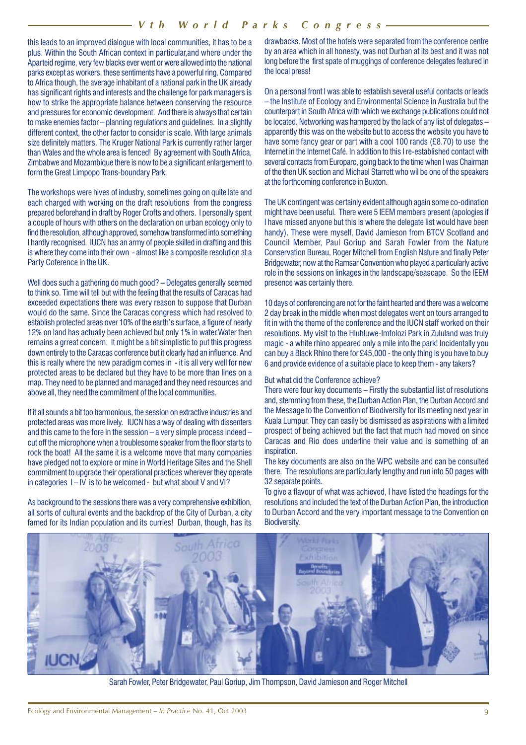this leads to an improved dialogue with local communities, it has to be a plus. Within the South African context in particular,and where under the Aparteid regime, very few blacks ever went or were allowed into the national parks except as workers, these sentiments have a powerful ring. Compared to Africa though, the average inhabitant of a national park in the UK already has significant rights and interests and the challenge for park managers is how to strike the appropriate balance between conserving the resource and pressures for economic development. And there is always that certain to make enemies factor – planning regulations and guidelines. In a slightly different context, the other factor to consider is scale. With large animals size definitely matters. The Kruger National Park is currently rather larger than Wales and the whole area is fenced! By agreement with South Africa, Zimbabwe and Mozambique there is now to be a significant enlargement to form the Great Limpopo Trans-boundary Park.

The workshops were hives of industry, sometimes going on quite late and each charged with working on the draft resolutions from the congress prepared beforehand in draft by Roger Crofts and others. I personally spent a couple of hours with others on the declaration on urban ecology only to find the resolution, although approved, somehow transformed into something I hardly recognised. IUCN has an army of people skilled in drafting and this is where they come into their own - almost like a composite resolution at a Party Coference in the UK.

Well does such a gathering do much good? – Delegates generally seemed to think so. Time will tell but with the feeling that the results of Caracas had exceeded expectations there was every reason to suppose that Durban would do the same. Since the Caracas congress which had resolved to establish protected areas over 10% of the earth's surface, a figure of nearly 12% on land has actually been achieved but only 1% in water.Water then remains a grreat concern. It might be a bit simplistic to put this progress down entirely to the Caracas conference but it clearly had an influence. And this is really where the new paradigm comes in - it is all very well for new protected areas to be declared but they have to be more than lines on a map. They need to be planned and managed and they need resources and above all, they need the commitment of the local communities.

If it all sounds a bit too harmonious, the session on extractive industries and protected areas was more lively. IUCN has a way of dealing with dissenters and this came to the fore in the session – a very simple process indeed – cut off the microphone when a troublesome speaker from the floor starts to rock the boat! All the same it is a welcome move that many companies have pledged not to explore or mine in World Heritage Sites and the Shell commitment to upgrade their operational practices wherever they operate in categories I – IV is to be welcomed - but what about V and VI?

As background to the sessions there was a very comprehensive exhibition, all sorts of cultural events and the backdrop of the City of Durban, a city famed for its Indian population and its curries! Durban, though, has its

drawbacks. Most of the hotels were separated from the conference centre by an area which in all honesty, was not Durban at its best and it was not long before the first spate of muggings of conference delegates featured in the local press!

On a personal front I was able to establish several useful contacts or leads – the Institute of Ecology and Environmental Science in Australia but the counterpart in South Africa with which we exchange publications could not be located. Networking was hampered by the lack of any list of delegates – apparently this was on the website but to access the website you have to have some fancy gear or part with a cool 100 rands (£8.70) to use the Internet in the Internet Café. In addition to this I re-established contact with several contacts from Europarc, going back to the time when I was Chairman of the then UK section and Michael Starrett who wil be one of the speakers at the forthcoming conference in Buxton.

The UK contingent was certainly evident although again some co-odination might have been useful. There were 5 IEEM members present (apologies if I have missed anyone but this is where the delegate list would have been handy). These were myself, David Jamieson from BTCV Scotland and Council Member, Paul Goriup and Sarah Fowler from the Nature Conservation Bureau, Roger Mitchell from English Nature and finally Peter Bridgewater, now at the Ramsar Convention who played a particularly active role in the sessions on linkages in the landscape/seascape. So the IEEM presence was certainly there.

10 days of conferencing are not for the faint hearted and there was a welcome 2 day break in the middle when most delegates went on tours arranged to fit in with the theme of the conference and the IUCN staff worked on their resolutions. My visit to the Hluhluwe-Imfolozi Park in Zululand was truly magic - a white rhino appeared only a mile into the park! Incidentally you can buy a Black Rhino there for £45,000 - the only thing is you have to buy 6 and provide evidence of a suitable place to keep them - any takers?

### But what did the Conference achieve?

There were four key documents – Firstly the substantial list of resolutions and, stemming from these, the Durban Action Plan, the Durban Accord and the Message to the Convention of Biodiversity for its meeting next year in Kuala Lumpur. They can easily be dismissed as aspirations with a limited prospect of being achieved but the fact that much had moved on since Caracas and Rio does underline their value and is something of an inspiration.

The key documents are also on the WPC website and can be consulted there. The resolutions are particularly lengthy and run into 50 pages with 32 separate points.

To give a flavour of what was achieved, I have listed the headings for the resolutions and included the text of the Durban Action Plan, the introduction to Durban Accord and the very important message to the Convention on Biodiversity.



Sarah Fowler, Peter Bridgewater, Paul Goriup, Jim Thompson, David Jamieson and Roger Mitchell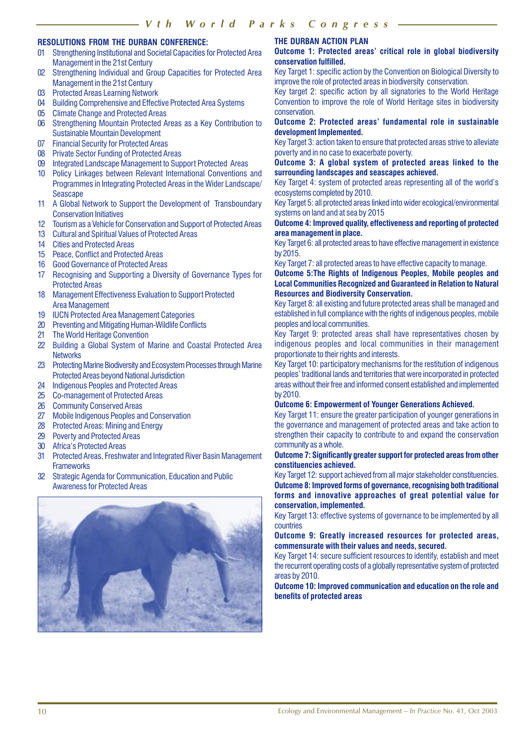### **RESOLUTIONS FROM THE DURBAN CONFERENCE:**

- 01 Strengthening Institutional and Societal Capacities for Protected Area Management in the 21st Century
- 02 Strengthening Individual and Group Capacities for Protected Area Management in the 21st Century
- 03 Protected Areas Learning Network
- 04 Building Comprehensive and Effective Protected Area Systems
- 05 Climate Change and Protected Areas
- 06 Strengthening Mountain Protected Areas as a Key Contribution to Sustainable Mountain Development
- 07 Financial Security for Protected Areas
- 08 Private Sector Funding of Protected Areas
- 09 Integrated Landscape Management to Support Protected Areas
- 10 Policy Linkages between Relevant International Conventions and Programmes in Integrating Protected Areas in the Wider Landscape/ **Seascape**
- 11 A Global Network to Support the Development of Transboundary Conservation Initiatives
- 12 Tourism as a Vehicle for Conservation and Support of Protected Areas
- 13 Cultural and Spiritual Values of Protected Areas
- 14 Cities and Protected Areas
- 15 Peace, Conflict and Protected Areas
- 16 Good Governance of Protected Areas
- 17 Recognising and Supporting a Diversity of Governance Types for Protected Areas
- 18 Management Effectiveness Evaluation to Support Protected Area Management
- 19 IUCN Protected Area Management Categories
- 20 Preventing and Mitigating Human-Wildlife Conflicts
- 21 The World Heritage Convention
- 22 Building a Global System of Marine and Coastal Protected Area **Networks**
- 23 Protecting Marine Biodiversity and Ecosystem Processes through Marine Protected Areas beyond National Jurisdiction
- 24 Indigenous Peoples and Protected Areas
- 25 Co-management of Protected Areas
- 26 Community Conserved Areas
- 27 Mobile Indigenous Peoples and Conservation
- 28 Protected Areas: Mining and Energy
- 29 Poverty and Protected Areas
- 30 Africa's Protected Areas
- 31 Protected Areas, Freshwater and Integrated River Basin Management **Frameworks**
- 32 Strategic Agenda for Communication, Education and Public Awareness for Protected Areas



### **THE DURBAN ACTION PLAN**

### **Outcome 1: Protected areas' critical role in global biodiversity conservation fulfilled.**

Key Target 1: specific action by the Convention on Biological Diversity to improve the role of protected areas in biodiversity conservation.

Key target 2: specific action by all signatories to the World Heritage Convention to improve the role of World Heritage sites in biodiversity conservation.

### **Outcome 2: Protected areas' fundamental role in sustainable development Implemented.**

Key Target 3: action taken to ensure that protected areas strive to alleviate poverty and in no case to exacerbate poverty.

### **Outcome 3: A global system of protected areas linked to the surrounding landscapes and seascapes achieved.**

Key Target 4: system of protected areas representing all of the world's ecosystems completed by 2010.

Key Target 5: all protected areas linked into wider ecological/environmental systems on land and at sea by 2015

### **Outcome 4: Improved quality, effectiveness and reporting of protected area management in place.**

Key Target 6: all protected areas to have effective management in existence by 2015.

Key Target 7: all protected areas to have effective capacity to manage.

**Outcome 5:The Rights of Indigenous Peoples, Mobile peoples and Local Communities Recognized and Guaranteed in Relation to Natural Resources and Biodiversity Conservation.**

Key Target 8: all existing and future protected areas shall be managed and established in full compliance with the rights of indigenous peoples, mobile peoples and local communities.

Key Target 9: protected areas shall have representatives chosen by indigenous peoples and local communities in their management proportionate to their rights and interests.

Key Target 10: participatory mechanisms for the restitution of indigenous peoples' traditional lands and territories that were incorporated in protected areas without their free and informed consent established and implemented by 2010.

### **Outcome 6: Empowerment of Younger Generations Achieved.**

Key Target 11: ensure the greater participation of younger generations in the governance and management of protected areas and take action to strengthen their capacity to contribute to and expand the conservation community as a whole.

### **Outcome 7: Significantly greater support for protected areas from other constituencies achieved.**

Key Target 12: support achieved from all major stakeholder constituencies. **Outcome 8: Improved forms of governance, recognising both traditional forms and innovative approaches of great potential value for conservation, implemented.**

Key Target 13: effective systems of governance to be implemented by all countries

**Outcome 9: Greatly increased resources for protected areas, commensurate with their values and needs, secured.**

Key Target 14: secure sufficient resources to identify, establish and meet the recurrent operating costs of a globally representative system of protected areas by 2010.

**Outcome 10: Improved communication and education on the role and benefits of protected areas**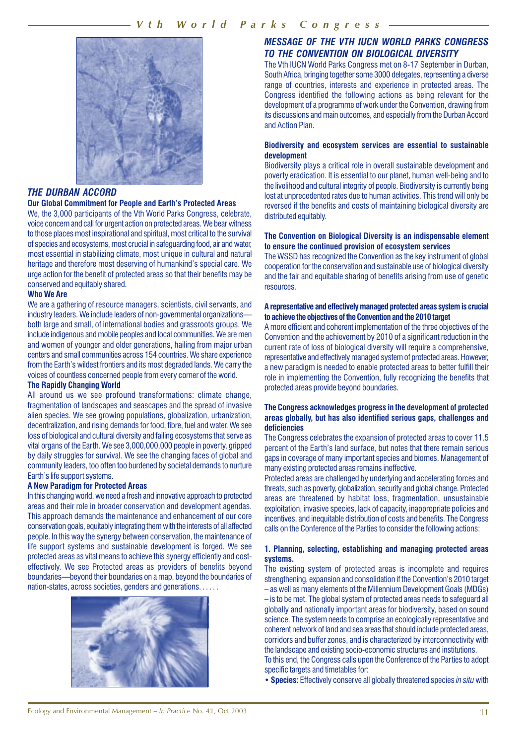

### *THE DURBAN ACCORD*

### **Our Global Commitment for People and Earth's Protected Areas**

We, the 3,000 participants of the Vth World Parks Congress, celebrate, voice concern and call for urgent action on protected areas. We bear witness to those places most inspirational and spiritual, most critical to the survival of species and ecosystems, most crucial in safeguarding food, air and water, most essential in stabilizing climate, most unique in cultural and natural heritage and therefore most deserving of humankind's special care. We urge action for the benefit of protected areas so that their benefits may be conserved and equitably shared.

### **Who We Are**

We are a gathering of resource managers, scientists, civil servants, and industry leaders. We include leaders of non-governmental organizations both large and small, of international bodies and grassroots groups. We include indigenous and mobile peoples and local communities. We are men and women of younger and older generations, hailing from major urban centers and small communities across 154 countries. We share experience from the Earth's wildest frontiers and its most degraded lands. We carry the voices of countless concerned people from every corner of the world.

### **The Rapidly Changing World**

All around us we see profound transformations: climate change, fragmentation of landscapes and seascapes and the spread of invasive alien species. We see growing populations, globalization, urbanization, decentralization, and rising demands for food, fibre, fuel and water. We see loss of biological and cultural diversity and failing ecosystems that serve as vital organs of the Earth. We see 3,000,000,000 people in poverty, gripped by daily struggles for survival. We see the changing faces of global and community leaders, too often too burdened by societal demands to nurture Earth's life support systems.

### **A New Paradigm for Protected Areas**

In this changing world, we need a fresh and innovative approach to protected areas and their role in broader conservation and development agendas. This approach demands the maintenance and enhancement of our core conservation goals, equitably integrating them with the interests of all affected people. In this way the synergy between conservation, the maintenance of life support systems and sustainable development is forged. We see protected areas as vital means to achieve this synergy efficiently and costeffectively. We see Protected areas as providers of benefits beyond boundaries—beyond their boundaries on a map, beyond the boundaries of nation-states, across societies, genders and generations. . . . . .



### *MESSAGE OF THE VTH IUCN WORLD PARKS CONGRESS TO THE CONVENTION ON BIOLOGICAL DIVERSITY*

The Vth IUCN World Parks Congress met on 8-17 September in Durban, South Africa, bringing together some 3000 delegates, representing a diverse range of countries, interests and experience in protected areas. The Congress identified the following actions as being relevant for the development of a programme of work under the Convention, drawing from its discussions and main outcomes, and especially from the Durban Accord and Action Plan.

### **Biodiversity and ecosystem services are essential to sustainable development**

Biodiversity plays a critical role in overall sustainable development and poverty eradication. It is essential to our planet, human well-being and to the livelihood and cultural integrity of people. Biodiversity is currently being lost at unprecedented rates due to human activities. This trend will only be reversed if the benefits and costs of maintaining biological diversity are distributed equitably.

### **The Convention on Biological Diversity is an indispensable element to ensure the continued provision of ecosystem services**

The WSSD has recognized the Convention as the key instrument of global cooperation for the conservation and sustainable use of biological diversity and the fair and equitable sharing of benefits arising from use of genetic resources.

### **A representative and effectively managed protected areas system is crucial to achieve the objectives of the Convention and the 2010 target**

A more efficient and coherent implementation of the three objectives of the Convention and the achievement by 2010 of a significant reduction in the current rate of loss of biological diversity will require a comprehensive, representative and effectively managed system of protected areas. However, a new paradigm is needed to enable protected areas to better fulfill their role in implementing the Convention, fully recognizing the benefits that protected areas provide beyond boundaries.

### **The Congress acknowledges progress in the development of protected areas globally, but has also identified serious gaps, challenges and deficiencies**

The Congress celebrates the expansion of protected areas to cover 11.5 percent of the Earth's land surface, but notes that there remain serious gaps in coverage of many important species and biomes. Management of many existing protected areas remains ineffective.

Protected areas are challenged by underlying and accelerating forces and threats, such as poverty, globalization, security and global change. Protected areas are threatened by habitat loss, fragmentation, unsustainable exploitation, invasive species, lack of capacity, inappropriate policies and incentives, and inequitable distribution of costs and benefits. The Congress calls on the Conference of the Parties to consider the following actions:

### **1. Planning, selecting, establishing and managing protected areas systems.**

The existing system of protected areas is incomplete and requires strengthening, expansion and consolidation if the Convention's 2010 target – as well as many elements of the Millennium Development Goals (MDGs) – is to be met. The global system of protected areas needs to safeguard all globally and nationally important areas for biodiversity, based on sound science. The system needs to comprise an ecologically representative and coherent network of land and sea areas that should include protected areas, corridors and buffer zones, and is characterized by interconnectivity with the landscape and existing socio-economic structures and institutions. To this end, the Congress calls upon the Conference of the Parties to adopt specific targets and timetables for:

**• Species:** Effectively conserve all globally threatened species *in situ* with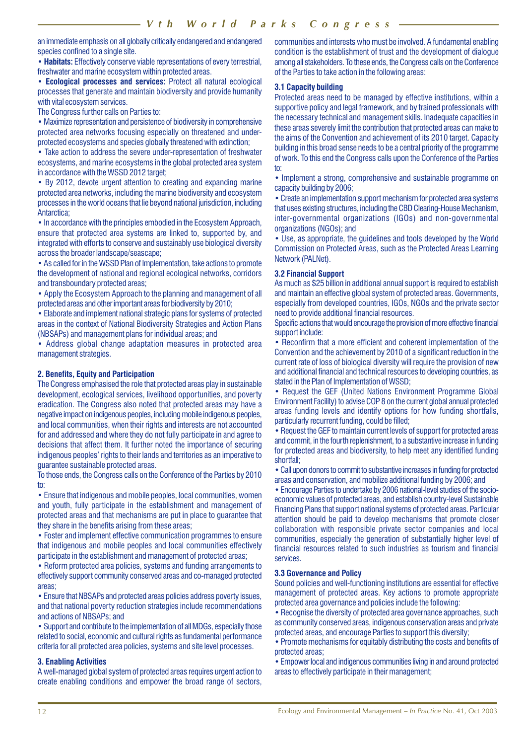an immediate emphasis on all globally critically endangered and endangered species confined to a single site.

**• Habitats:** Effectively conserve viable representations of every terrestrial, freshwater and marine ecosystem within protected areas.

**• Ecological processes and services:** Protect all natural ecological processes that generate and maintain biodiversity and provide humanity with vital ecosystem services.

The Congress further calls on Parties to:

• Maximize representation and persistence of biodiversity in comprehensive protected area networks focusing especially on threatened and underprotected ecosystems and species globally threatened with extinction;

• Take action to address the severe under-representation of freshwater ecosystems, and marine ecosystems in the global protected area system in accordance with the WSSD 2012 target;

• By 2012, devote urgent attention to creating and expanding marine protected area networks, including the marine biodiversity and ecosystem processes in the world oceans that lie beyond national jurisdiction, including Antarctica;

• In accordance with the principles embodied in the Ecosystem Approach, ensure that protected area systems are linked to, supported by, and integrated with efforts to conserve and sustainably use biological diversity across the broader landscape/seascape;

• As called for in the WSSD Plan of Implementation, take actions to promote the development of national and regional ecological networks, corridors and transboundary protected areas;

• Apply the Ecosystem Approach to the planning and management of all protected areas and other important areas for biodiversity by 2010;

• Elaborate and implement national strategic plans for systems of protected areas in the context of National Biodiversity Strategies and Action Plans (NBSAPs) and management plans for individual areas; and

• Address global change adaptation measures in protected area management strategies.

### **2. Benefits, Equity and Participation**

The Congress emphasised the role that protected areas play in sustainable development, ecological services, livelihood opportunities, and poverty eradication. The Congress also noted that protected areas may have a negative impact on indigenous peoples, including mobile indigenous peoples, and local communities, when their rights and interests are not accounted for and addressed and where they do not fully participate in and agree to decisions that affect them. It further noted the importance of securing indigenous peoples' rights to their lands and territories as an imperative to guarantee sustainable protected areas.

To those ends, the Congress calls on the Conference of the Parties by 2010 to:

• Ensure that indigenous and mobile peoples, local communities, women and youth, fully participate in the establishment and management of protected areas and that mechanisms are put in place to guarantee that they share in the benefits arising from these areas;

• Foster and implement effective communication programmes to ensure that indigenous and mobile peoples and local communities effectively participate in the establishment and management of protected areas;

• Reform protected area policies, systems and funding arrangements to effectively support community conserved areas and co-managed protected areas;

• Ensure that NBSAPs and protected areas policies address poverty issues, and that national poverty reduction strategies include recommendations and actions of NBSAPs; and

• Support and contribute to the implementation of all MDGs, especially those related to social, economic and cultural rights as fundamental performance criteria for all protected area policies, systems and site level processes.

### **3. Enabling Activities**

A well-managed global system of protected areas requires urgent action to create enabling conditions and empower the broad range of sectors, communities and interests who must be involved. A fundamental enabling condition is the establishment of trust and the development of dialogue among all stakeholders. To these ends, the Congress calls on the Conference of the Parties to take action in the following areas:

### **3.1 Capacity building**

Protected areas need to be managed by effective institutions, within a supportive policy and legal framework, and by trained professionals with the necessary technical and management skills. Inadequate capacities in these areas severely limit the contribution that protected areas can make to the aims of the Convention and achievement of its 2010 target. Capacity building in this broad sense needs to be a central priority of the programme of work. To this end the Congress calls upon the Conference of the Parties to:

• Implement a strong, comprehensive and sustainable programme on capacity building by 2006;

• Create an implementation support mechanism for protected area systems that uses existing structures, including the CBD Clearing-House Mechanism, inter-governmental organizations (IGOs) and non-governmental organizations (NGOs); and

• Use, as appropriate, the guidelines and tools developed by the World Commission on Protected Areas, such as the Protected Areas Learning Network (PALNet).

### **3.2 Financial Support**

As much as \$25 billion in additional annual support is required to establish and maintain an effective global system of protected areas. Governments, especially from developed countries, IGOs, NGOs and the private sector need to provide additional financial resources.

Specific actions that would encourage the provision of more effective financial support include:

• Reconfirm that a more efficient and coherent implementation of the Convention and the achievement by 2010 of a significant reduction in the current rate of loss of biological diversity will require the provision of new and additional financial and technical resources to developing countries, as stated in the Plan of Implementation of WSSD;

• Request the GEF (United Nations Environment Programme Global Environment Facility) to advise COP 8 on the current global annual protected areas funding levels and identify options for how funding shortfalls, particularly recurrent funding, could be filled;

• Request the GEF to maintain current levels of support for protected areas and commit, in the fourth replenishment, to a substantive increase in funding for protected areas and biodiversity, to help meet any identified funding shortfall;

• Call upon donors to commit to substantive increases in funding for protected areas and conservation, and mobilize additional funding by 2006; and

• Encourage Parties to undertake by 2006 national-level studies of the socioeconomic values of protected areas, and establish country-level Sustainable Financing Plans that support national systems of protected areas. Particular attention should be paid to develop mechanisms that promote closer collaboration with responsible private sector companies and local communities, especially the generation of substantially higher level of financial resources related to such industries as tourism and financial services.

### **3.3 Governance and Policy**

Sound policies and well-functioning institutions are essential for effective management of protected areas. Key actions to promote appropriate protected area governance and policies include the following:

• Recognise the diversity of protected area governance approaches, such as community conserved areas, indigenous conservation areas and private protected areas, and encourage Parties to support this diversity;

• Promote mechanisms for equitably distributing the costs and benefits of protected areas;

• Empower local and indigenous communities living in and around protected areas to effectively participate in their management;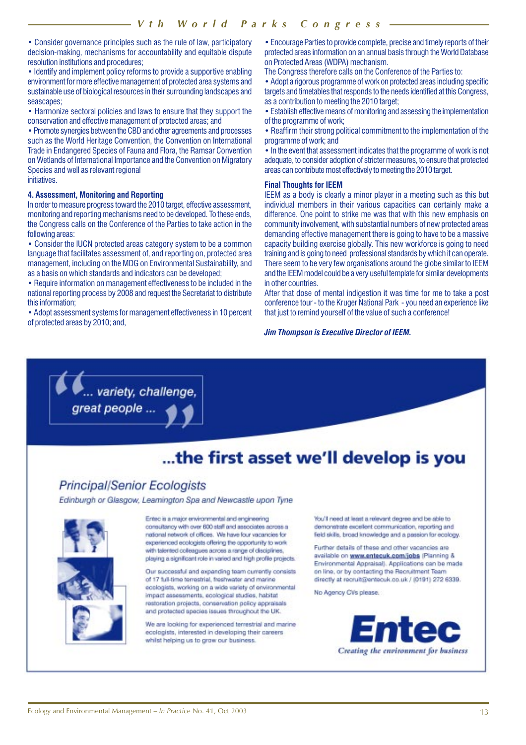• Consider governance principles such as the rule of law, participatory decision-making, mechanisms for accountability and equitable dispute resolution institutions and procedures;

• Identify and implement policy reforms to provide a supportive enabling environment for more effective management of protected area systems and sustainable use of biological resources in their surrounding landscapes and seascapes;

• Harmonize sectoral policies and laws to ensure that they support the conservation and effective management of protected areas; and

• Promote synergies between the CBD and other agreements and processes such as the World Heritage Convention, the Convention on International Trade in Endangered Species of Fauna and Flora, the Ramsar Convention on Wetlands of International Importance and the Convention on Migratory Species and well as relevant regional

### initiatives.

### **4. Assessment, Monitoring and Reporting**

In order to measure progress toward the 2010 target, effective assessment, monitoring and reporting mechanisms need to be developed. To these ends, the Congress calls on the Conference of the Parties to take action in the following areas:

• Consider the IUCN protected areas category system to be a common language that facilitates assessment of, and reporting on, protected area management, including on the MDG on Environmental Sustainability, and as a basis on which standards and indicators can be developed;

• Require information on management effectiveness to be included in the national reporting process by 2008 and request the Secretariat to distribute this information;

• Adopt assessment systems for management effectiveness in 10 percent of protected areas by 2010; and,

• Encourage Parties to provide complete, precise and timely reports of their protected areas information on an annual basis through the World Database on Protected Areas (WDPA) mechanism.

The Congress therefore calls on the Conference of the Parties to:

• Adopt a rigorous programme of work on protected areas including specific targets and timetables that responds to the needs identified at this Congress, as a contribution to meeting the 2010 target;

• Establish effective means of monitoring and assessing the implementation of the programme of work;

• Reaffirm their strong political commitment to the implementation of the programme of work; and

• In the event that assessment indicates that the programme of work is not adequate, to consider adoption of stricter measures, to ensure that protected areas can contribute most effectively to meeting the 2010 target.

#### **Final Thoughts for IEEM**

IEEM as a body is clearly a minor player in a meeting such as this but individual members in their various capacities can certainly make a difference. One point to strike me was that with this new emphasis on community involvement, with substantial numbers of new protected areas demanding effective management there is going to have to be a massive capacity building exercise globally. This new workforce is going to need training and is going to need professional standards by which it can operate. There seem to be very few organisations around the globe similar to IEEM and the IEEM model could be a very useful template for similar developments in other countries.

After that dose of mental indigestion it was time for me to take a post conference tour - to the Kruger National Park - you need an experience like that just to remind yourself of the value of such a conference!

### *Jim Thompson is Executive Director of IEEM.*

variety, challenge, great people ...

### ...the first asset we'll develop is you

### **Principal/Senior Ecologists**

Edinburgh or Glasgow, Learnington Spa and Newcastle upon Tyne



Entec is a major environmental and engineering consultancy with over 600 staff and associates across a national network of offices. We have four vacancies for experienced ecologists offering the opportunity to work with talented colleagues across a range of disciplines, playing a significant role in varied and high profile projects.

Our successful and expanding team currently consists of 17 full-time terrestrial, freshwater and marine ecologists, working on a wide variety of environmental impact assessments, ecological studies, habitat restoration projects, conservation policy appraisals and protected species issues throughout the UK.

We are looking for experienced terrestrial and marine ecologists, interested in developing their careers whilst helping us to grow our business.

You'll need at least a relevant degree and be able to demonstrate excellent communication, reporting and field skills, broad knowledge and a passion for ecology.

Further details of these and other vacancies are available on www.entecuk.com/jobs (Planning & Environmental Appraisal). Applications can be made on line, or by contacting the Recruitment Team directly at recruit@entecuk.co.uk / (0191) 272 6339.

No Agency CVs please.

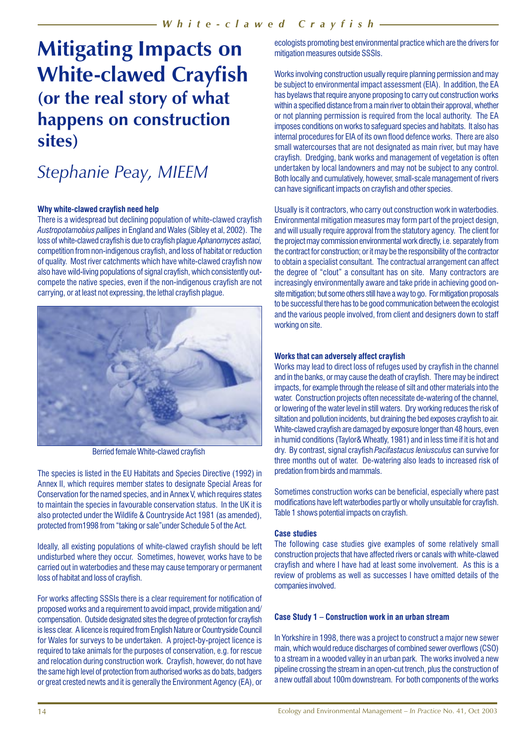## **Mitigating Impacts on White-clawed Crayfish (or the real story of what happens on construction sites)**

### *Stephanie Peay, MIEEM*

### **Why white-clawed crayfish need help**

There is a widespread but declining population of white-clawed crayfish *Austropotamobius pallipes* in England and Wales (Sibley et al, 2002). The loss of white-clawed crayfish is due to crayfish plague *Aphanomyces astaci,* competition from non-indigenous crayfish, and loss of habitat or reduction of quality. Most river catchments which have white-clawed crayfish now also have wild-living populations of signal crayfish, which consistently outcompete the native species, even if the non-indigenous crayfish are not carrying, or at least not expressing, the lethal crayfish plague.



Berried female White-clawed crayfish

The species is listed in the EU Habitats and Species Directive (1992) in Annex II, which requires member states to designate Special Areas for Conservation for the named species, and in Annex V, which requires states to maintain the species in favourable conservation status. In the UK it is also protected under the Wildlife & Countryside Act 1981 (as amended), protected from1998 from "taking or sale"under Schedule 5 of the Act.

Ideally, all existing populations of white-clawed crayfish should be left undisturbed where they occur. Sometimes, however, works have to be carried out in waterbodies and these may cause temporary or permanent loss of habitat and loss of crayfish.

For works affecting SSSIs there is a clear requirement for notification of proposed works and a requirement to avoid impact, provide mitigation and/ compensation. Outside designated sites the degree of protection for crayfish is less clear. A licence is required from English Nature or Countryside Council for Wales for surveys to be undertaken. A project-by-project licence is required to take animals for the purposes of conservation, e.g. for rescue and relocation during construction work. Crayfish, however, do not have the same high level of protection from authorised works as do bats, badgers or great crested newts and it is generally the Environment Agency (EA), or

ecologists promoting best environmental practice which are the drivers for mitigation measures outside SSSIs.

Works involving construction usually require planning permission and may be subject to environmental impact assessment (EIA). In addition, the EA has byelaws that require anyone proposing to carry out construction works within a specified distance from a main river to obtain their approval, whether or not planning permission is required from the local authority. The EA imposes conditions on works to safeguard species and habitats. It also has internal procedures for EIA of its own flood defence works. There are also small watercourses that are not designated as main river, but may have crayfish. Dredging, bank works and management of vegetation is often undertaken by local landowners and may not be subject to any control. Both locally and cumulatively, however, small-scale management of rivers can have significant impacts on crayfish and other species.

Usually is it contractors, who carry out construction work in waterbodies. Environmental mitigation measures may form part of the project design, and will usually require approval from the statutory agency. The client for the project may commission environmental work directly, i.e. separately from the contract for construction; or it may be the responsibility of the contractor to obtain a specialist consultant. The contractual arrangement can affect the degree of "clout" a consultant has on site. Many contractors are increasingly environmentally aware and take pride in achieving good onsite mitigation; but some others still have a way to go. For mitigation proposals to be successful there has to be good communication between the ecologist and the various people involved, from client and designers down to staff working on site.

### **Works that can adversely affect crayfish**

Works may lead to direct loss of refuges used by crayfish in the channel and in the banks, or may cause the death of crayfish. There may be indirect impacts, for example through the release of silt and other materials into the water. Construction projects often necessitate de-watering of the channel, or lowering of the water level in still waters. Dry working reduces the risk of siltation and pollution incidents, but draining the bed exposes crayfish to air. White-clawed crayfish are damaged by exposure longer than 48 hours, even in humid conditions (Taylor& Wheatly, 1981) and in less time if it is hot and dry. By contrast, signal crayfish *Pacifastacus leniusculus* can survive for three months out of water. De-watering also leads to increased risk of predation from birds and mammals.

Sometimes construction works can be beneficial, especially where past modifications have left waterbodies partly or wholly unsuitable for crayfish. Table 1 shows potential impacts on crayfish.

### **Case studies**

The following case studies give examples of some relatively small construction projects that have affected rivers or canals with white-clawed crayfish and where I have had at least some involvement. As this is a review of problems as well as successes I have omitted details of the companies involved.

### **Case Study 1 – Construction work in an urban stream**

In Yorkshire in 1998, there was a project to construct a major new sewer main, which would reduce discharges of combined sewer overflows (CSO) to a stream in a wooded valley in an urban park. The works involved a new pipeline crossing the stream in an open-cut trench, plus the construction of a new outfall about 100m downstream. For both components of the works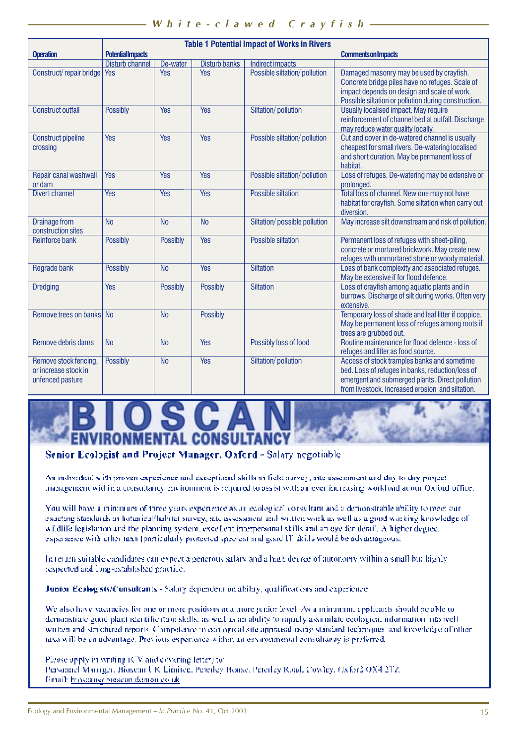|                                                                   | <b>Table 1 Potential Impact of Works in Rivers</b> |                 |                      |                              |                                                                                                                                                                                                        |
|-------------------------------------------------------------------|----------------------------------------------------|-----------------|----------------------|------------------------------|--------------------------------------------------------------------------------------------------------------------------------------------------------------------------------------------------------|
| <b>Operation</b>                                                  | <b>Potential Impacts</b>                           |                 |                      |                              | <b>Comments on Impacts</b>                                                                                                                                                                             |
|                                                                   | <b>Disturb channel</b>                             | De-water        | <b>Disturb banks</b> | <b>Indirect impacts</b>      |                                                                                                                                                                                                        |
| Construct/repair bridge                                           | Yes                                                | <b>Yes</b>      | Yes                  | Possible siltation/pollution | Damaged masonry may be used by crayfish.<br>Concrete bridge piles have no refuges. Scale of<br>impact depends on design and scale of work.<br>Possible siltation or pollution during construction.     |
| <b>Construct outfall</b>                                          | <b>Possibly</b>                                    | Yes             | Yes                  | Siltation/pollution          | Usually localised impact. May require<br>reinforcement of channel bed at outfall. Discharge<br>may reduce water quality locally.                                                                       |
| <b>Construct pipeline</b><br>crossing                             | <b>Yes</b>                                         | <b>Yes</b>      | Yes                  | Possible siltation/pollution | Cut and cover in de-watered channel is usually<br>cheapest for small rivers. De-watering localised<br>and short duration. May be permanent loss of<br>habitat.                                         |
| Repair canal washwall<br>or dam                                   | <b>Yes</b>                                         | <b>Yes</b>      | <b>Yes</b>           | Possible siltation/pollution | Loss of refuges. De-watering may be extensive or<br>prolonged.                                                                                                                                         |
| <b>Divert channel</b>                                             | <b>Yes</b>                                         | <b>Yes</b>      | <b>Yes</b>           | <b>Possible siltation</b>    | Total loss of channel. New one may not have<br>habitat for crayfish. Some siltation when carry out<br>diversion.                                                                                       |
| <b>Drainage from</b><br>construction sites                        | <b>No</b>                                          | <b>No</b>       | N <sub>o</sub>       | Siltation/possible pollution | May increase silt downstream and risk of pollution.                                                                                                                                                    |
| Reinforce bank                                                    | Possibly                                           | <b>Possibly</b> | <b>Yes</b>           | <b>Possible siltation</b>    | Permanent loss of refuges with sheet-piling,<br>concrete or mortared brickwork. May create new<br>refuges with unmortared stone or woody material.                                                     |
| <b>Regrade bank</b>                                               | <b>Possibly</b>                                    | <b>No</b>       | Yes                  | <b>Siltation</b>             | Loss of bank complexity and associated refuges.<br>May be extensive if for flood defence.                                                                                                              |
| <b>Dredging</b>                                                   | <b>Yes</b>                                         | <b>Possibly</b> | <b>Possibly</b>      | <b>Siltation</b>             | Loss of crayfish among aquatic plants and in<br>burrows. Discharge of silt during works. Often very<br>extensive.                                                                                      |
| Remove trees on banks No                                          |                                                    | <b>No</b>       | <b>Possibly</b>      |                              | Temporary loss of shade and leaf litter if coppice.<br>May be permanent loss of refuges among roots if<br>trees are grubbed out.                                                                       |
| Remove debris dams                                                | N <sub>0</sub>                                     | <b>No</b>       | <b>Yes</b>           | Possibly loss of food        | Routine maintenance for flood defence - loss of<br>refuges and litter as food source.                                                                                                                  |
| Remove stock fencing,<br>or increase stock in<br>unfenced pasture | Possibly                                           | <b>No</b>       | Yes                  | Siltation/pollution          | Access of stock tramples banks and sometime<br>bed. Loss of refuges in banks, reduction/loss of<br>emergent and submerged plants. Direct pollution<br>from livestock. Increased erosion and siltation. |



### Senior Ecologist and Project Manager, Oxford - Salary negotiable

An individual with proven experience and exceptional skills in field survey, site assessment and day to day project management within a consultancy environment is required to assist with an ever increasing workload at our Oxford office.

You will have a minimum of three years experience as an ecological consultant and a demonstrable ability to meet our exacting standards in hotanical/habitat survey, site assessment and written work as well as a good working knowledge of wildlife legislation and the planning system, excellent interpersonal skills and an eye for derail. A higher degree, experience with other taxa (particularly protected species) and good IT skills would be advantageous.

he return suitable candidates can expect a generous salary and a high degree of autonomy within a small but highly respected and long-established practice.

Juntor Ecologists/Consultants - Salary dependent on ability, qualifications and experience

We also have vacancies for one or more positions at a more junior level. As a minimum, applicants should be able to demonstrate good plant reentification skills, as well as an ability to rapidly assimilate ecological information into well. written and structured reports. Competence in equilogical site approach using standard technologies, and knowledge of other jaxa will be an advantage. Previous experience within an environmental consultativy is preferred.

Please apply in writing (CV and covering letter) to:

Personael Manager, Biosean UK Limited, Peterley House, Peterley Road, Cowley, Oxford OX4 2TZ. Finally himscanier bioscan demon coluk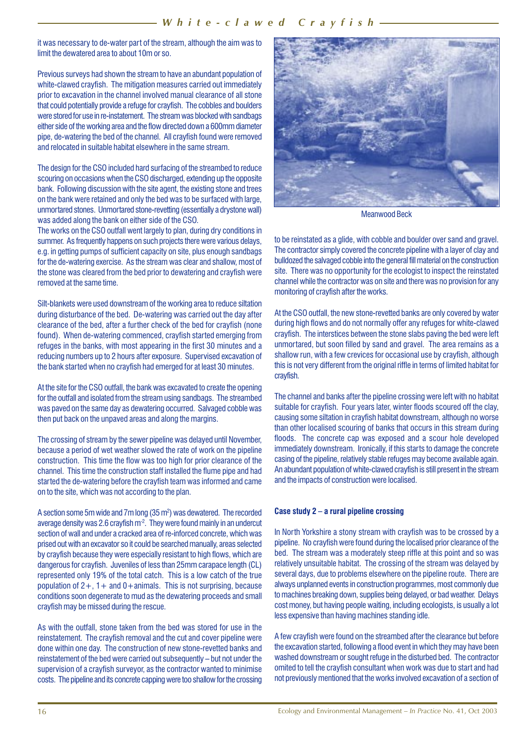it was necessary to de-water part of the stream, although the aim was to limit the dewatered area to about 10m or so.

Previous surveys had shown the stream to have an abundant population of white-clawed crayfish. The mitigation measures carried out immediately prior to excavation in the channel involved manual clearance of all stone that could potentially provide a refuge for crayfish. The cobbles and boulders were stored for use in re-instatement. The stream was blocked with sandbags either side of the working area and the flow directed down a 600mm diameter pipe, de-watering the bed of the channel. All crayfish found were removed and relocated in suitable habitat elsewhere in the same stream.

The design for the CSO included hard surfacing of the streambed to reduce scouring on occasions when the CSO discharged, extending up the opposite bank. Following discussion with the site agent, the existing stone and trees on the bank were retained and only the bed was to be surfaced with large, unmortared stones. Unmortared stone-revetting (essentially a drystone wall) was added along the bank on either side of the CSO.

The works on the CSO outfall went largely to plan, during dry conditions in summer. As frequently happens on such projects there were various delays, e.g. in getting pumps of sufficient capacity on site, plus enough sandbags for the de-watering exercise. As the stream was clear and shallow, most of the stone was cleared from the bed prior to dewatering and crayfish were removed at the same time.

Silt-blankets were used downstream of the working area to reduce siltation during disturbance of the bed. De-watering was carried out the day after clearance of the bed, after a further check of the bed for crayfish (none found). When de-watering commenced, crayfish started emerging from refuges in the banks, with most appearing in the first 30 minutes and a reducing numbers up to 2 hours after exposure. Supervised excavation of the bank started when no crayfish had emerged for at least 30 minutes.

At the site for the CSO outfall, the bank was excavated to create the opening for the outfall and isolated from the stream using sandbags. The streambed was paved on the same day as dewatering occurred. Salvaged cobble was then put back on the unpaved areas and along the margins.

The crossing of stream by the sewer pipeline was delayed until November, because a period of wet weather slowed the rate of work on the pipeline construction. This time the flow was too high for prior clearance of the channel. This time the construction staff installed the flume pipe and had started the de-watering before the crayfish team was informed and came on to the site, which was not according to the plan.

A section some 5m wide and 7m long (35 m<sup>2</sup>) was dewatered. The recorded average density was 2.6 crayfish  $m<sup>2</sup>$ . They were found mainly in an undercut section of wall and under a cracked area of re-inforced concrete, which was prised out with an excavator so it could be searched manually, areas selected by crayfish because they were especially resistant to high flows, which are dangerous for crayfish. Juveniles of less than 25mm carapace length (CL) represented only 19% of the total catch. This is a low catch of the true population of  $2+$ ,  $1+$  and  $0+$ animals. This is not surprising, because conditions soon degenerate to mud as the dewatering proceeds and small crayfish may be missed during the rescue.

As with the outfall, stone taken from the bed was stored for use in the reinstatement. The crayfish removal and the cut and cover pipeline were done within one day. The construction of new stone-revetted banks and reinstatement of the bed were carried out subsequently – but not under the supervision of a crayfish surveyor, as the contractor wanted to minimise costs. The pipeline and its concrete capping were too shallow for the crossing



Meanwood Beck

to be reinstated as a glide, with cobble and boulder over sand and gravel. The contractor simply covered the concrete pipeline with a layer of clay and bulldozed the salvaged cobble into the general fill material on the construction site. There was no opportunity for the ecologist to inspect the reinstated channel while the contractor was on site and there was no provision for any monitoring of crayfish after the works.

At the CSO outfall, the new stone-revetted banks are only covered by water during high flows and do not normally offer any refuges for white-clawed crayfish. The interstices between the stone slabs paving the bed were left unmortared, but soon filled by sand and gravel. The area remains as a shallow run, with a few crevices for occasional use by crayfish, although this is not very different from the original riffle in terms of limited habitat for crayfish.

The channel and banks after the pipeline crossing were left with no habitat suitable for crayfish. Four years later, winter floods scoured off the clay, causing some siltation in crayfish habitat downstream, although no worse than other localised scouring of banks that occurs in this stream during floods. The concrete cap was exposed and a scour hole developed immediately downstream. Ironically, if this starts to damage the concrete casing of the pipeline, relatively stable refuges may become available again. An abundant population of white-clawed crayfish is still present in the stream and the impacts of construction were localised.

### **Case study 2 – a rural pipeline crossing**

In North Yorkshire a stony stream with crayfish was to be crossed by a pipeline. No crayfish were found during the localised prior clearance of the bed. The stream was a moderately steep riffle at this point and so was relatively unsuitable habitat. The crossing of the stream was delayed by several days, due to problems elsewhere on the pipeline route. There are always unplanned events in construction programmes, most commonly due to machines breaking down, supplies being delayed, or bad weather. Delays cost money, but having people waiting, including ecologists, is usually a lot less expensive than having machines standing idle.

A few crayfish were found on the streambed after the clearance but before the excavation started, following a flood event in which they may have been washed downstream or sought refuge in the disturbed bed. The contractor omited to tell the crayfish consultant when work was due to start and had not previously mentioned that the works involved excavation of a section of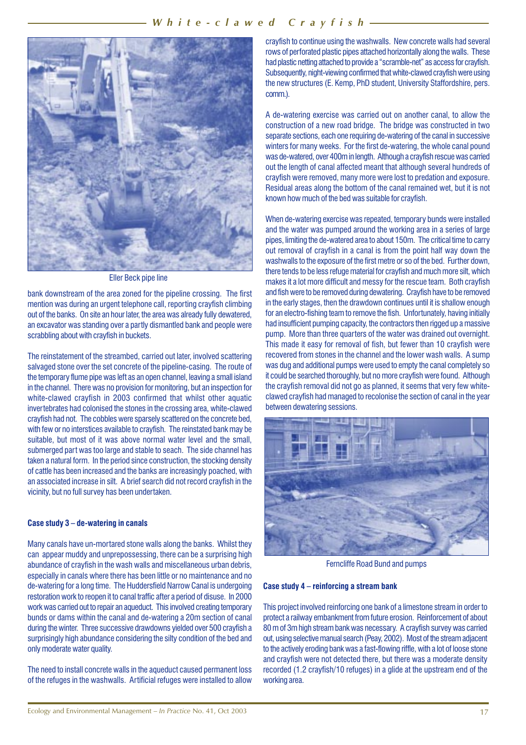

Eller Beck pipe line

bank downstream of the area zoned for the pipeline crossing. The first mention was during an urgent telephone call, reporting crayfish climbing out of the banks. On site an hour later, the area was already fully dewatered, an excavator was standing over a partly dismantled bank and people were scrabbling about with crayfish in buckets.

The reinstatement of the streambed, carried out later, involved scattering salvaged stone over the set concrete of the pipeline-casing. The route of the temporary flume pipe was left as an open channel, leaving a small island in the channel. There was no provision for monitoring, but an inspection for white-clawed crayfish in 2003 confirmed that whilst other aquatic invertebrates had colonised the stones in the crossing area, white-clawed crayfish had not. The cobbles were sparsely scattered on the concrete bed, with few or no interstices available to crayfish. The reinstated bank may be suitable, but most of it was above normal water level and the small, submerged part was too large and stable to seach. The side channel has taken a natural form. In the period since construction, the stocking density of cattle has been increased and the banks are increasingly poached, with an associated increase in silt. A brief search did not record crayfish in the vicinity, but no full survey has been undertaken.

### **Case study 3 – de-watering in canals**

Many canals have un-mortared stone walls along the banks. Whilst they can appear muddy and unprepossessing, there can be a surprising high abundance of crayfish in the wash walls and miscellaneous urban debris, especially in canals where there has been little or no maintenance and no de-watering for a long time. The Huddersfield Narrow Canal is undergoing restoration work to reopen it to canal traffic after a period of disuse. In 2000 work was carried out to repair an aqueduct. This involved creating temporary bunds or dams within the canal and de-watering a 20m section of canal during the winter. Three successive drawdowns yielded over 500 crayfish a surprisingly high abundance considering the silty condition of the bed and only moderate water quality.

The need to install concrete walls in the aqueduct caused permanent loss of the refuges in the washwalls. Artificial refuges were installed to allow crayfish to continue using the washwalls. New concrete walls had several rows of perforated plastic pipes attached horizontally along the walls. These had plastic netting attached to provide a "scramble-net" as access for crayfish. Subsequently, night-viewing confirmed that white-clawed crayfish were using the new structures (E. Kemp, PhD student, University Staffordshire, pers. comm.).

A de-watering exercise was carried out on another canal, to allow the construction of a new road bridge. The bridge was constructed in two separate sections, each one requiring de-watering of the canal in successive winters for many weeks. For the first de-watering, the whole canal pound was de-watered, over 400m in length. Although a crayfish rescue was carried out the length of canal affected meant that although several hundreds of crayfish were removed, many more were lost to predation and exposure. Residual areas along the bottom of the canal remained wet, but it is not known how much of the bed was suitable for crayfish.

When de-watering exercise was repeated, temporary bunds were installed and the water was pumped around the working area in a series of large pipes, limiting the de-watered area to about 150m. The critical time to carry out removal of crayfish in a canal is from the point half way down the washwalls to the exposure of the first metre or so of the bed. Further down, there tends to be less refuge material for crayfish and much more silt, which makes it a lot more difficult and messy for the rescue team. Both crayfish and fish were to be removed during dewatering. Crayfish have to be removed in the early stages, then the drawdown continues until it is shallow enough for an electro-fishing team to remove the fish. Unfortunately, having initially had insufficient pumping capacity, the contractors then rigged up a massive pump. More than three quarters of the water was drained out overnight. This made it easy for removal of fish, but fewer than 10 crayfish were recovered from stones in the channel and the lower wash walls. A sump was dug and additional pumps were used to empty the canal completely so it could be searched thoroughly, but no more crayfish were found. Although the crayfish removal did not go as planned, it seems that very few whiteclawed crayfish had managed to recolonise the section of canal in the year between dewatering sessions.



Ferncliffe Road Bund and pumps

### **Case study 4 – reinforcing a stream bank**

This project involved reinforcing one bank of a limestone stream in order to protect a railway embankment from future erosion. Reinforcement of about 80 m of 3m high stream bank was necessary. A crayfish survey was carried out, using selective manual search (Peay, 2002). Most of the stream adjacent to the actively eroding bank was a fast-flowing riffle, with a lot of loose stone and crayfish were not detected there, but there was a moderate density recorded (1.2 crayfish/10 refuges) in a glide at the upstream end of the working area.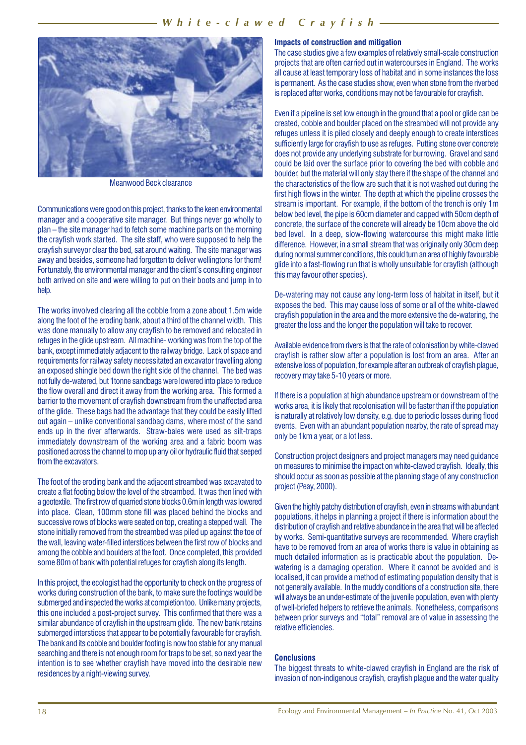

Meanwood Beck clearance

Communications were good on this project, thanks to the keen environmental manager and a cooperative site manager. But things never go wholly to plan – the site manager had to fetch some machine parts on the morning the crayfish work started. The site staff, who were supposed to help the crayfish surveyor clear the bed, sat around waiting. The site manager was away and besides, someone had forgotten to deliver wellingtons for them! Fortunately, the environmental manager and the client's consulting engineer both arrived on site and were willing to put on their boots and jump in to help.

The works involved clearing all the cobble from a zone about 1.5m wide along the foot of the eroding bank, about a third of the channel width. This was done manually to allow any crayfish to be removed and relocated in refuges in the glide upstream. All machine- working was from the top of the bank, except immediately adjacent to the railway bridge. Lack of space and requirements for railway safety necessitated an excavator travelling along an exposed shingle bed down the right side of the channel. The bed was not fully de-watered, but 1tonne sandbags were lowered into place to reduce the flow overall and direct it away from the working area. This formed a barrier to the movement of crayfish downstream from the unaffected area of the glide. These bags had the advantage that they could be easily lifted out again – unlike conventional sandbag dams, where most of the sand ends up in the river afterwards. Straw-bales were used as silt-traps immediately downstream of the working area and a fabric boom was positioned across the channel to mop up any oil or hydraulic fluid that seeped from the excavators.

The foot of the eroding bank and the adjacent streambed was excavated to create a flat footing below the level of the streambed. It was then lined with a geotextile. The first row of quarried stone blocks 0.6m in length was lowered into place. Clean, 100mm stone fill was placed behind the blocks and successive rows of blocks were seated on top, creating a stepped wall. The stone initially removed from the streambed was piled up against the toe of the wall, leaving water-filled interstices between the first row of blocks and among the cobble and boulders at the foot. Once completed, this provided some 80m of bank with potential refuges for crayfish along its length.

In this project, the ecologist had the opportunity to check on the progress of works during construction of the bank, to make sure the footings would be submerged and inspected the works at completion too. Unlike many projects, this one included a post-project survey. This confirmed that there was a similar abundance of crayfish in the upstream glide. The new bank retains submerged interstices that appear to be potentially favourable for crayfish. The bank and its cobble and boulder footing is now too stable for any manual searching and there is not enough room for traps to be set, so next year the intention is to see whether crayfish have moved into the desirable new residences by a night-viewing survey.

### **Impacts of construction and mitigation**

The case studies give a few examples of relatively small-scale construction projects that are often carried out in watercourses in England. The works all cause at least temporary loss of habitat and in some instances the loss is permanent. As the case studies show, even when stone from the riverbed is replaced after works, conditions may not be favourable for crayfish.

Even if a pipeline is set low enough in the ground that a pool or glide can be created, cobble and boulder placed on the streambed will not provide any refuges unless it is piled closely and deeply enough to create interstices sufficiently large for crayfish to use as refuges. Putting stone over concrete does not provide any underlying substrate for burrowing. Gravel and sand could be laid over the surface prior to covering the bed with cobble and boulder, but the material will only stay there if the shape of the channel and the characteristics of the flow are such that it is not washed out during the first high flows in the winter. The depth at which the pipeline crosses the stream is important. For example, if the bottom of the trench is only 1m below bed level, the pipe is 60cm diameter and capped with 50cm depth of concrete, the surface of the concrete will already be 10cm above the old bed level. In a deep, slow-flowing watercourse this might make little difference. However, in a small stream that was originally only 30cm deep during normal summer conditions, this could turn an area of highly favourable glide into a fast-flowing run that is wholly unsuitable for crayfish (although this may favour other species).

De-watering may not cause any long-term loss of habitat in itself, but it exposes the bed. This may cause loss of some or all of the white-clawed crayfish population in the area and the more extensive the de-watering, the greater the loss and the longer the population will take to recover.

Available evidence from rivers is that the rate of colonisation by white-clawed crayfish is rather slow after a population is lost from an area. After an extensive loss of population, for example after an outbreak of crayfish plague, recovery may take 5-10 years or more.

If there is a population at high abundance upstream or downstream of the works area, it is likely that recolonisation will be faster than if the population is naturally at relatively low density, e.g. due to periodic losses during flood events. Even with an abundant population nearby, the rate of spread may only be 1km a year, or a lot less.

Construction project designers and project managers may need guidance on measures to minimise the impact on white-clawed crayfish. Ideally, this should occur as soon as possible at the planning stage of any construction project (Peay, 2000).

Given the highly patchy distribution of crayfish, even in streams with abundant populations, it helps in planning a project if there is information about the distribution of crayfish and relative abundance in the area that will be affected by works. Semi-quantitative surveys are recommended. Where crayfish have to be removed from an area of works there is value in obtaining as much detailed information as is practicable about the population. Dewatering is a damaging operation. Where it cannot be avoided and is localised, it can provide a method of estimating population density that is not generally available. In the muddy conditions of a construction site, there will always be an under-estimate of the juvenile population, even with plenty of well-briefed helpers to retrieve the animals. Nonetheless, comparisons between prior surveys and "total" removal are of value in assessing the relative efficiencies.

### **Conclusions**

The biggest threats to white-clawed crayfish in England are the risk of invasion of non-indigenous crayfish, crayfish plague and the water quality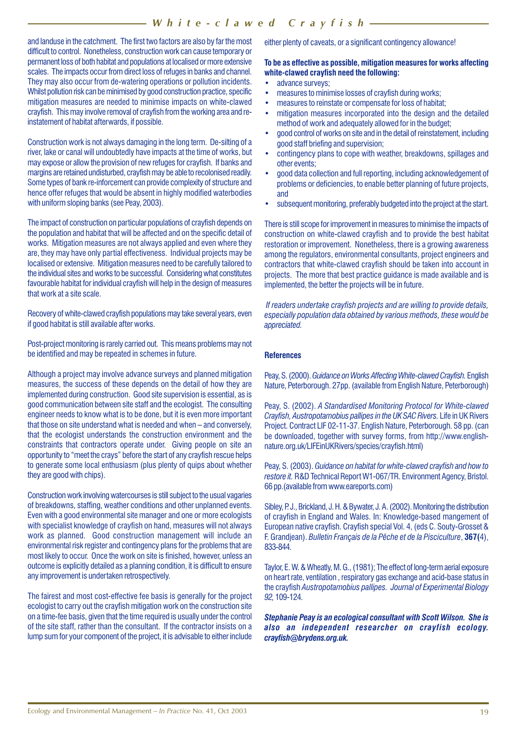and landuse in the catchment. The first two factors are also by far the most difficult to control. Nonetheless, construction work can cause temporary or permanent loss of both habitat and populations at localised or more extensive scales. The impacts occur from direct loss of refuges in banks and channel. They may also occur from de-watering operations or pollution incidents. Whilst pollution risk can be minimised by good construction practice, specific mitigation measures are needed to minimise impacts on white-clawed crayfish. This may involve removal of crayfish from the working area and reinstatement of habitat afterwards, if possible.

Construction work is not always damaging in the long term. De-silting of a river, lake or canal will undoubtedly have impacts at the time of works, but may expose or allow the provision of new refuges for crayfish. If banks and margins are retained undisturbed, crayfish may be able to recolonised readily. Some types of bank re-inforcement can provide complexity of structure and hence offer refuges that would be absent in highly modified waterbodies with uniform sloping banks (see Peay, 2003).

The impact of construction on particular populations of crayfish depends on the population and habitat that will be affected and on the specific detail of works. Mitigation measures are not always applied and even where they are, they may have only partial effectiveness. Individual projects may be localised or extensive. Mitigation measures need to be carefully tailored to the individual sites and works to be successful. Considering what constitutes favourable habitat for individual crayfish will help in the design of measures that work at a site scale.

Recovery of white-clawed crayfish populations may take several years, even if good habitat is still available after works.

Post-project monitoring is rarely carried out. This means problems may not be identified and may be repeated in schemes in future.

Although a project may involve advance surveys and planned mitigation measures, the success of these depends on the detail of how they are implemented during construction. Good site supervision is essential, as is good communication between site staff and the ecologist. The consulting engineer needs to know what is to be done, but it is even more important that those on site understand what is needed and when – and conversely, that the ecologist understands the construction environment and the constraints that contractors operate under. Giving people on site an opportunity to "meet the crays" before the start of any crayfish rescue helps to generate some local enthusiasm (plus plenty of quips about whether they are good with chips).

Construction work involving watercourses is still subject to the usual vagaries of breakdowns, staffing, weather conditions and other unplanned events. Even with a good environmental site manager and one or more ecologists with specialist knowledge of crayfish on hand, measures will not always work as planned. Good construction management will include an environmental risk register and contingency plans for the problems that are most likely to occur. Once the work on site is finished, however, unless an outcome is explicitly detailed as a planning condition, it is difficult to ensure any improvement is undertaken retrospectively.

The fairest and most cost-effective fee basis is generally for the project ecologist to carry out the crayfish mitigation work on the construction site on a time-fee basis, given that the time required is usually under the control of the site staff, rather than the consultant. If the contractor insists on a lump sum for your component of the project, it is advisable to either include

either plenty of caveats, or a significant contingency allowance!

### **To be as effective as possible, mitigation measures for works affecting white-clawed crayfish need the following:**

- advance surveys;
- measures to minimise losses of crayfish during works;
- measures to reinstate or compensate for loss of habitat;
- mitigation measures incorporated into the design and the detailed method of work and adequately allowed for in the budget;
- good control of works on site and in the detail of reinstatement, including good staff briefing and supervision;
- contingency plans to cope with weather, breakdowns, spillages and other events;
- good data collection and full reporting, including acknowledgement of problems or deficiencies, to enable better planning of future projects, and
- subsequent monitoring, preferably budgeted into the project at the start.

There is still scope for improvement in measures to minimise the impacts of construction on white-clawed crayfish and to provide the best habitat restoration or improvement. Nonetheless, there is a growing awareness among the regulators, environmental consultants, project engineers and contractors that white-clawed crayfish should be taken into account in projects. The more that best practice guidance is made available and is implemented, the better the projects will be in future.

*If readers undertake crayfish projects and are willing to provide details, especially population data obtained by various methods, these would be appreciated.*

### **References**

Peay, S. (2000).*Guidance on Works Affecting White-clawed Crayfish.* English Nature, Peterborough. 27pp. (available from English Nature, Peterborough)

Peay, S. (2002). *A Standardised Monitoring Protocol for White-clawed Crayfish, Austropotamobius pallipes in the UK SAC Rivers.* Life in UK Rivers Project. Contract LIF 02-11-37. English Nature, Peterborough. 58 pp. (can be downloaded, together with survey forms, from http://www.englishnature.org.uk/LIFEinUKRivers/species/crayfish.html)

Peay, S. (2003). *Guidance on habitat for white-clawed crayfish and how to restore it.* R&D Technical Report W1-067/TR. Environment Agency, Bristol. 66 pp.(available from www.eareports.com)

Sibley, P. J., Brickland, J. H. & Bywater, J. A. (2002). Monitoring the distribution of crayfish in England and Wales. In: Knowledge-based mangement of European native crayfish. Crayfish special Vol. 4, (eds C. Souty-Grosset & F. Grandjean). *Bulletin Français de la Pêche et de la Pisciculture*, **367(**4), 833-844.

Taylor, E. W. & Wheatly, M. G., (1981); The effect of long-term aerial exposure on heart rate, ventilation , respiratory gas exchange and acid-base status in the crayfish *Austropotamobius pallipes. Journal of Experimental Biology 92,*109-124.

*Stephanie Peay is an ecological consultant with Scott Wilson. She is also an independent researcher on crayfish ecology. crayfish@brydens.org.uk.*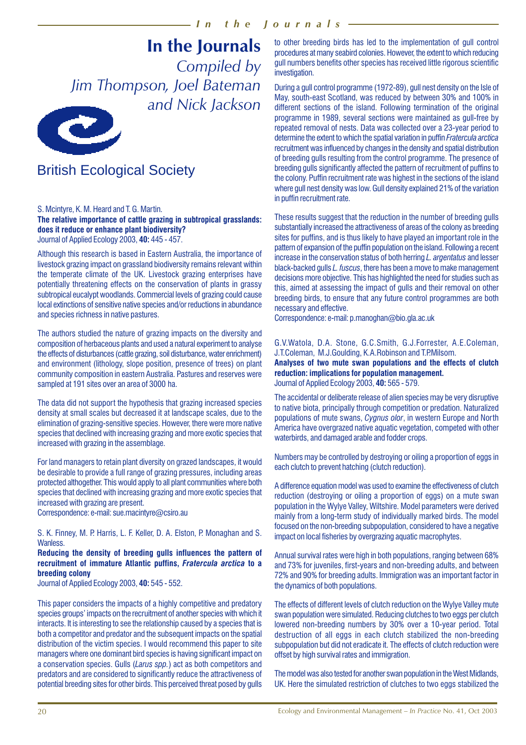### **In the Journals**

*Compiled by Jim Thompson, Joel Bateman and Nick Jackson*



### British Ecological Society

### S. Mcintyre, K. M. Heard and T. G. Martin.

**The relative importance of cattle grazing in subtropical grasslands: does it reduce or enhance plant biodiversity?** Journal of Applied Ecology 2003, **40:** 445 - 457.

Although this research is based in Eastern Australia, the importance of livestock grazing impact on grassland biodiversity remains relevant within the temperate climate of the UK. Livestock grazing enterprises have potentially threatening effects on the conservation of plants in grassy subtropical eucalypt woodlands. Commercial levels of grazing could cause local extinctions of sensitive native species and/or reductions in abundance and species richness in native pastures.

The authors studied the nature of grazing impacts on the diversity and composition of herbaceous plants and used a natural experiment to analyse the effects of disturbances (cattle grazing, soil disturbance, water enrichment) and environment (lithology, slope position, presence of trees) on plant community composition in eastern Australia. Pastures and reserves were sampled at 191 sites over an area of 3000 ha.

The data did not support the hypothesis that grazing increased species density at small scales but decreased it at landscape scales, due to the elimination of grazing-sensitive species. However, there were more native species that declined with increasing grazing and more exotic species that increased with grazing in the assemblage.

For land managers to retain plant diversity on grazed landscapes, it would be desirable to provide a full range of grazing pressures, including areas protected althogether. This would apply to all plant communities where both species that declined with increasing grazing and more exotic species that increased with grazing are present.

Correspondence: e-mail: sue.macintyre@csiro.au

S. K. Finney, M. P. Harris, L. F. Keller, D. A. Elston, P. Monaghan and S. Wanless.

### **Reducing the density of breeding gulls influences the pattern of recruitment of immature Atlantic puffins,** *Fratercula arctica* **to a breeding colony**

Journal of Applied Ecology 2003, **40:** 545 - 552.

This paper considers the impacts of a highly competitive and predatory species groups' impacts on the recruitment of another species with which it interacts. It is interesting to see the relationship caused by a species that is both a competitor and predator and the subsequent impacts on the spatial distribution of the victim species. I would recommend this paper to site managers where one dominant bird species is having significant impact on a conservation species. Gulls (*Larus spp.*) act as both competitors and predators and are considered to significantly reduce the attractiveness of potential breeding sites for other birds. This perceived threat posed by gulls to other breeding birds has led to the implementation of gull control procedures at many seabird colonies. However, the extent to which reducing gull numbers benefits other species has received little rigorous scientific investigation.

During a gull control programme (1972-89), gull nest density on the Isle of May, south-east Scotland, was reduced by between 30% and 100% in different sections of the island. Following termination of the original programme in 1989, several sections were maintained as gull-free by repeated removal of nests. Data was collected over a 23-year period to determine the extent to which the spatial variation in puffin *Fratercula arctica* recruitment was influenced by changes in the density and spatial distribution of breeding gulls resulting from the control programme. The presence of breeding gulls significantly affected the pattern of recruitment of puffins to the colony. Puffin recruitment rate was highest in the sections of the island where gull nest density was low. Gull density explained 21% of the variation in puffin recruitment rate.

These results suggest that the reduction in the number of breeding gulls substantially increased the attractiveness of areas of the colony as breeding sites for puffins, and is thus likely to have played an important role in the pattern of expansion of the puffin population on the island. Following a recent increase in the conservation status of both herring *L. argentatus* and lesser black-backed gulls *L. fuscus*, there has been a move to make management decisions more objective. This has highlighted the need for studies such as this, aimed at assessing the impact of gulls and their removal on other breeding birds, to ensure that any future control programmes are both necessary and effective.

Correspondence: e-mail: p.manoghan@bio.gla.ac.uk

### G.V.Watola, D.A. Stone, G.C.Smith, G.J.Forrester, A.E.Coleman, J.T.Coleman, M.J.Goulding, K.A.Robinson and T.P.Milsom.

**Analyses of two mute swan populations and the effects of clutch reduction: implications for population management.** Journal of Applied Ecology 2003, **40:** 565 - 579.

The accidental or deliberate release of alien species may be very disruptive to native biota, principally through competition or predation. Naturalized populations of mute swans, *Cygnus olor*, in western Europe and North America have overgrazed native aquatic vegetation, competed with other waterbirds, and damaged arable and fodder crops.

Numbers may be controlled by destroying or oiling a proportion of eggs in each clutch to prevent hatching (clutch reduction).

A difference equation model was used to examine the effectiveness of clutch reduction (destroying or oiling a proportion of eggs) on a mute swan population in the Wylye Valley, Wiltshire. Model parameters were derived mainly from a long-term study of individually marked birds. The model focused on the non-breeding subpopulation, considered to have a negative impact on local fisheries by overgrazing aquatic macrophytes.

Annual survival rates were high in both populations, ranging between 68% and 73% for juveniles, first-years and non-breeding adults, and between 72% and 90% for breeding adults. Immigration was an important factor in the dynamics of both populations.

The effects of different levels of clutch reduction on the Wylye Valley mute swan population were simulated. Reducing clutches to two eggs per clutch lowered non-breeding numbers by 30% over a 10-year period. Total destruction of all eggs in each clutch stabilized the non-breeding subpopulation but did not eradicate it. The effects of clutch reduction were offset by high survival rates and immigration.

The model was also tested for another swan population in the West Midlands, UK. Here the simulated restriction of clutches to two eggs stabilized the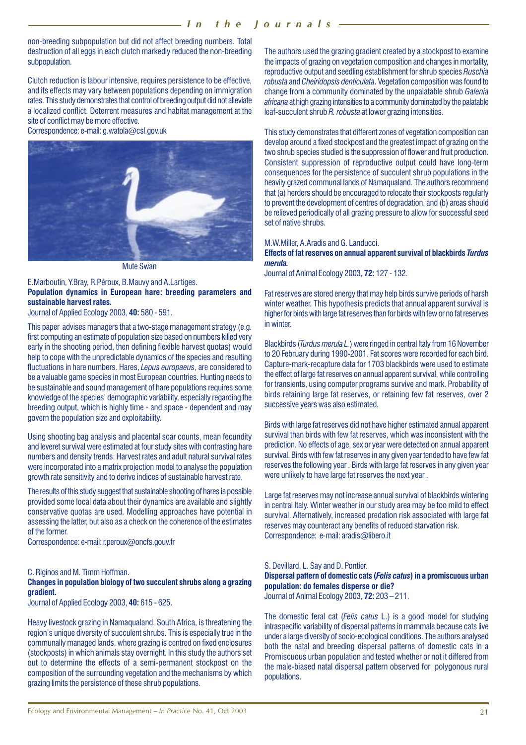non-breeding subpopulation but did not affect breeding numbers. Total destruction of all eggs in each clutch markedly reduced the non-breeding subpopulation.

Clutch reduction is labour intensive, requires persistence to be effective, and its effects may vary between populations depending on immigration rates. This study demonstrates that control of breeding output did not alleviate a localized conflict. Deterrent measures and habitat management at the site of conflict may be more effective.

Correspondence: e-mail: g.watola@csl.gov.uk



Mute Swan

### E.Marboutin, Y.Bray, R.Péroux, B.Mauvy and A.Lartiges. **Population dynamics in European hare: breeding parameters and sustainable harvest rates.**

Journal of Applied Ecology 2003, **40:** 580 - 591.

This paper advises managers that a two-stage management strategy (e.g. first computing an estimate of population size based on numbers killed very early in the shooting period, then defining flexible harvest quotas) would help to cope with the unpredictable dynamics of the species and resulting fluctuations in hare numbers. Hares, *Lepus europaeus*, are considered to be a valuable game species in most European countries. Hunting needs to be sustainable and sound management of hare populations requires some knowledge of the species' demographic variability, especially regarding the breeding output, which is highly time - and space - dependent and may govern the population size and exploitability.

Using shooting bag analysis and placental scar counts, mean fecundity and leveret survival were estimated at four study sites with contrasting hare numbers and density trends. Harvest rates and adult natural survival rates were incorporated into a matrix projection model to analyse the population growth rate sensitivity and to derive indices of sustainable harvest rate.

The results of this study suggest that sustainable shooting of hares is possible provided some local data about their dynamics are available and slightly conservative quotas are used. Modelling approaches have potential in assessing the latter, but also as a check on the coherence of the estimates of the former.

Correspondence: e-mail: r.peroux@oncfs.gouv.fr

### C. Riginos and M. Timm Hoffman.

### **Changes in population biology of two succulent shrubs along a grazing gradient.**

Journal of Applied Ecology 2003, **40:** 615 - 625.

Heavy livestock grazing in Namaqualand, South Africa, is threatening the region's unique diversity of succulent shrubs. This is especially true in the communally managed lands, where grazing is centred on fixed enclosures (stockposts) in which animals stay overnight. In this study the authors set out to determine the effects of a semi-permanent stockpost on the composition of the surrounding vegetation and the mechanisms by which grazing limits the persistence of these shrub populations.

The authors used the grazing gradient created by a stockpost to examine the impacts of grazing on vegetation composition and changes in mortality, reproductive output and seedling establishment for shrub species *Ruschia robusta* and *Cheiridopsis denticulata*. Vegetation composition was found to change from a community dominated by the unpalatable shrub *Galenia africana* at high grazing intensities to a community dominated by the palatable leaf-succulent shrub *R. robusta* at lower grazing intensities.

This study demonstrates that different zones of vegetation composition can develop around a fixed stockpost and the greatest impact of grazing on the two shrub species studied is the suppression of flower and fruit production. Consistent suppression of reproductive output could have long-term consequences for the persistence of succulent shrub populations in the heavily grazed communal lands of Namaqualand. The authors recommend that (a) herders should be encouraged to relocate their stockposts regularly to prevent the development of centres of degradation, and (b) areas should be relieved periodically of all grazing pressure to allow for successful seed set of native shrubs.

### M.W.Miller, A.Aradis and G. Landucci.

### **Effects of fat reserves on annual apparent survival of blackbirds** *Turdus merula.*

Journal of Animal Ecology 2003, **72:** 127 - 132.

Fat reserves are stored energy that may help birds survive periods of harsh winter weather. This hypothesis predicts that annual apparent survival is higher for birds with large fat reserves than for birds with few or no fat reserves in winter.

Blackbirds (*Turdus merula L.*) were ringed in central Italy from 16 November to 20 February during 1990-2001. Fat scores were recorded for each bird. Capture-mark-recapture data for 1703 blackbirds were used to estimate the effect of large fat reserves on annual apparent survival, while controlling for transients, using computer programs survive and mark. Probability of birds retaining large fat reserves, or retaining few fat reserves, over 2 successive years was also estimated.

Birds with large fat reserves did not have higher estimated annual apparent survival than birds with few fat reserves, which was inconsistent with the prediction. No effects of age, sex or year were detected on annual apparent survival. Birds with few fat reserves in any given year tended to have few fat reserves the following year . Birds with large fat reserves in any given year were unlikely to have large fat reserves the next year .

Large fat reserves may not increase annual survival of blackbirds wintering in central Italy. Winter weather in our study area may be too mild to effect survival. Alternatively, increased predation risk associated with large fat reserves may counteract any benefits of reduced starvation risk. Correspondence: e-mail: aradis@libero.it

S. Devillard, L. Say and D. Pontier. **Dispersal pattern of domestic cats (***Felis catus***) in a promiscuous urban population: do females disperse or die?** Journal of Animal Ecology 2003, **72:** 203 – 211.

The domestic feral cat (*Felis catus* L.) is a good model for studying intraspecific variability of dispersal patterns in mammals because cats live under a large diversity of socio-ecological conditions. The authors analysed both the natal and breeding dispersal patterns of domestic cats in a Promiscuous urban population and tested whether or not it differed from the male-biased natal dispersal pattern observed for polygonous rural populations.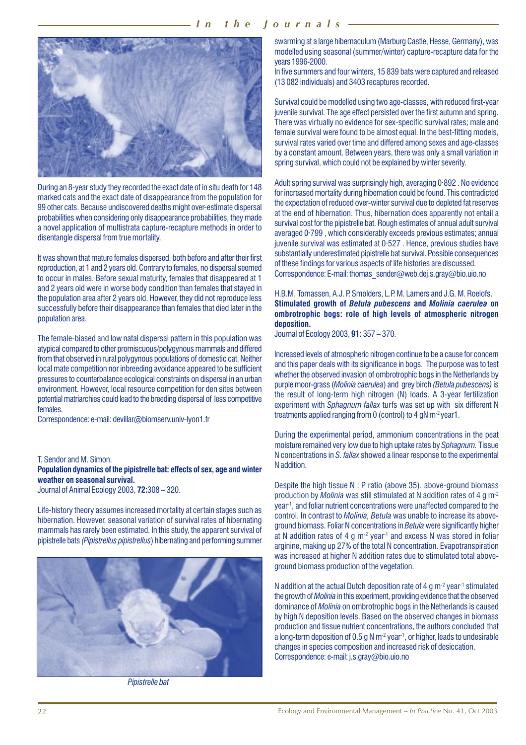

During an 8-year study they recorded the exact date of in situ death for 148 marked cats and the exact date of disappearance from the population for 99 other cats. Because undiscovered deaths might over-estimate dispersal probabilities when considering only disappearance probabilities, they made a novel application of multistrata capture-recapture methods in order to disentangle dispersal from true mortality.

It was shown that mature females dispersed, both before and after their first reproduction, at 1 and 2 years old. Contrary to females, no dispersal seemed to occur in males. Before sexual maturity, females that disappeared at 1 and 2 years old were in worse body condition than females that stayed in the population area after 2 years old. However, they did not reproduce less successfully before their disappearance than females that died later in the population area.

The female-biased and low natal dispersal pattern in this population was atypical compared to other promiscuous/polygynous mammals and differed from that observed in rural polygynous populations of domestic cat. Neither local mate competition nor inbreeding avoidance appeared to be sufficient pressures to counterbalance ecological constraints on dispersal in an urban environment. However, local resource competition for den sites between potential matriarchies could lead to the breeding dispersal of less competitive females.

Correspondence: e-mail: devillar@biomserv.univ-lyon1.fr

### T. Sendor and M. Simon.

**Population dynamics of the pipistrelle bat: effects of sex, age and winter weather on seasonal survival.** Journal of Animal Ecology 2003, **72:**308 – 320.

Life-history theory assumes increased mortality at certain stages such as hibernation. However, seasonal variation of survival rates of hibernating mammals has rarely been estimated. In this study, the apparent survival of pipistrelle bats *(Pipistrellus pipistrellus*) hibernating and performing summer



*Pipistrelle bat*

swarming at a large hibernaculum (Marburg Castle, Hesse, Germany), was modelled using seasonal (summer/winter) capture-recapture data for the years 1996-2000.

In five summers and four winters, 15 839 bats were captured and released (13 082 individuals) and 3403 recaptures recorded.

Survival could be modelled using two age-classes, with reduced first-year juvenile survival. The age effect persisted over the first autumn and spring. There was virtually no evidence for sex-specific survival rates; male and female survival were found to be almost equal. In the best-fitting models, survival rates varied over time and differed among sexes and age-classes by a constant amount. Between years, there was only a small variation in spring survival, which could not be explained by winter severity.

Adult spring survival was surprisingly high, averaging 0·892 . No evidence for increased mortality during hibernation could be found. This contradicted the expectation of reduced over-winter survival due to depleted fat reserves at the end of hibernation. Thus, hibernation does apparently not entail a survival cost for the pipistrelle bat. Rough estimates of annual adult survival averaged 0·799 , which considerably exceeds previous estimates; annual juvenile survival was estimated at 0·527 . Hence, previous studies have substantially underestimated pipistrelle bat survival. Possible consequences of these findings for various aspects of life histories are discussed. Correspondence: E-mail: thomas\_sender@web.dej.s.gray@bio.uio.no

H.B.M. Tomassen, A.J. P. Smolders, L.P. M. Lamers and J.G. M. Roelofs. **Stimulated growth of** *Betula pubescens* **and** *Molinia caerulea* **on ombrotrophic bogs: role of high levels of atmospheric nitrogen deposition.**

Journal of Ecology 2003, **91:** 357 – 370.

Increased levels of atmospheric nitrogen continue to be a cause for concern and this paper deals with its significance in bogs. The purpose was to test whether the observed invasion of ombrotrophic bogs in the Netherlands by purple moor-grass (*Molinia caerulea*) and grey birch *(Betula pubescens)* is the result of long-term high nitrogen (N) loads. A 3-year fertilization experiment with *Sphagnum fallax* turfs was set up with six different N treatments applied ranging from 0 (control) to 4 gN m-2 year1.

During the experimental period, ammonium concentrations in the peat moisture remained very low due to high uptake rates by *Sphagnum.* Tissue N concentrations in *S. fallax* showed a linear response to the experimental N addition.

Despite the high tissue N : P ratio (above 35), above-ground biomass production by *Molinia* was still stimulated at N addition rates of 4 g m-2 year-1, and foliar nutrient concentrations were unaffected compared to the control. In contrast to *Molinia, Betula* was unable to increase its aboveground biomass. Foliar N concentrations in *Betula* were significantly higher at N addition rates of 4 g  $\text{m}^2$  year<sup>1</sup> and excess N was stored in foliar arginine, making up 27% of the total N concentration. Evapotranspiration was increased at higher N addition rates due to stimulated total aboveground biomass production of the vegetation.

N addition at the actual Dutch deposition rate of 4  $\alpha$  m<sup>-2</sup> year<sup>-1</sup> stimulated the growth of *Molinia* in this experiment, providing evidence that the observed dominance of *Molinia* on ombrotrophic bogs in the Netherlands is caused by high N deposition levels. Based on the observed changes in biomass production and tissue nutrient concentrations, the authors concluded that a long-term deposition of 0.5 g N  $m<sup>2</sup>$  year<sup>-1</sup>, or higher, leads to undesirable changes in species composition and increased risk of desiccation. Correspondence: e-mail: j.s.gray@bio.uio.no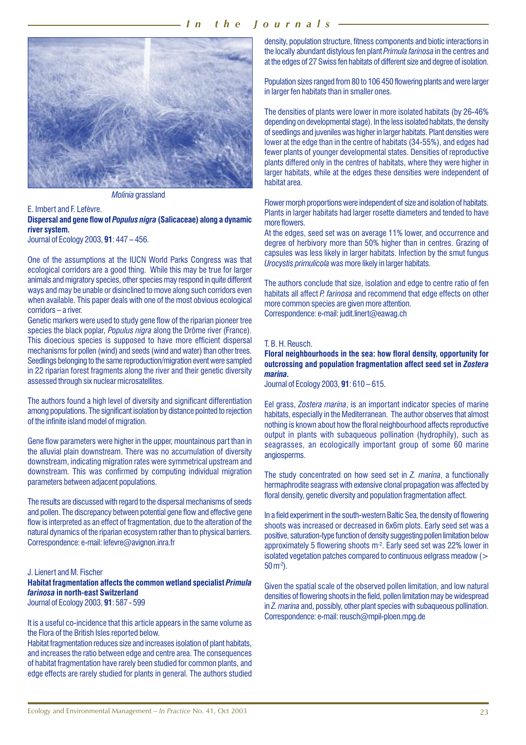

*Molinia* grassland

### E. Imbert and F. Lefèvre. **Dispersal and gene flow of** *Populus nigra* **(Salicaceae) along a dynamic river system.**

Journal of Ecology 2003, **91**: 447 – 456.

One of the assumptions at the IUCN World Parks Congress was that ecological corridors are a good thing. While this may be true for larger animals and migratory species, other species may respond in quite different ways and may be unable or disinclined to move along such corridors even when available. This paper deals with one of the most obvious ecological corridors – a river.

Genetic markers were used to study gene flow of the riparian pioneer tree species the black poplar*, Populus nigra* along the Drôme river (France). This dioecious species is supposed to have more efficient dispersal mechanisms for pollen (wind) and seeds (wind and water) than other trees. Seedlings belonging to the same reproduction/migration event were sampled in 22 riparian forest fragments along the river and their genetic diversity assessed through six nuclear microsatellites.

The authors found a high level of diversity and significant differentiation among populations. The significant isolation by distance pointed to rejection of the infinite island model of migration.

Gene flow parameters were higher in the upper, mountainous part than in the alluvial plain downstream. There was no accumulation of diversity downstream, indicating migration rates were symmetrical upstream and downstream. This was confirmed by computing individual migration parameters between adjacent populations.

The results are discussed with regard to the dispersal mechanisms of seeds and pollen. The discrepancy between potential gene flow and effective gene flow is interpreted as an effect of fragmentation, due to the alteration of the natural dynamics of the riparian ecosystem rather than to physical barriers. Correspondence: e-mail: lefevre@avignon.inra.fr

#### J. Lienert and M. Fischer

**Habitat fragmentation affects the common wetland specialist** *Primula farinosa* **in north-east Switzerland** Journal of Ecology 2003, **91**: 587 - 599

It is a useful co-incidence that this article appears in the same volume as the Flora of the British Isles reported below.

Habitat fragmentation reduces size and increases isolation of plant habitats, and increases the ratio between edge and centre area. The consequences of habitat fragmentation have rarely been studied for common plants, and edge effects are rarely studied for plants in general. The authors studied density, population structure, fitness components and biotic interactions in the locally abundant distylous fen plant *Primula farinosa* in the centres and at the edges of 27 Swiss fen habitats of different size and degree of isolation.

Population sizes ranged from 80 to 106 450 flowering plants and were larger in larger fen habitats than in smaller ones.

The densities of plants were lower in more isolated habitats (by 26-46% depending on developmental stage). In the less isolated habitats, the density of seedlings and juveniles was higher in larger habitats. Plant densities were lower at the edge than in the centre of habitats (34-55%), and edges had fewer plants of younger developmental states. Densities of reproductive plants differed only in the centres of habitats, where they were higher in larger habitats, while at the edges these densities were independent of habitat area.

Flower morph proportions were independent of size and isolation of habitats. Plants in larger habitats had larger rosette diameters and tended to have more flowers.

At the edges, seed set was on average 11% lower, and occurrence and degree of herbivory more than 50% higher than in centres. Grazing of capsules was less likely in larger habitats. Infection by the smut fungus *Urocystis primulicola*was more likely in larger habitats.

The authors conclude that size, isolation and edge to centre ratio of fen habitats all affect *P. farinosa* and recommend that edge effects on other more common species are given more attention. Correspondence: e-mail: judit.linert@eawag.ch

### T. B. H. Reusch.

### **Floral neighbourhoods in the sea: how floral density, opportunity for outcrossing and population fragmentation affect seed set in** *Zostera marina***.**

Journal of Ecology 2003, **91**: 610 – 615.

Eel grass, *Zostera marina*, is an important indicator species of marine habitats, especially in the Mediterranean. The author observes that almost nothing is known about how the floral neighbourhood affects reproductive output in plants with subaqueous pollination (hydrophily), such as seagrasses, an ecologically important group of some 60 marine angiosperms.

The study concentrated on how seed set in *Z. marina*, a functionally hermaphrodite seagrass with extensive clonal propagation was affected by floral density, genetic diversity and population fragmentation affect.

In a field experiment in the south-western Baltic Sea, the density of flowering shoots was increased or decreased in 6x6m plots. Early seed set was a positive, saturation-type function of density suggesting pollen limitation below approximately 5 flowering shoots m-2. Early seed set was 22% lower in isolated vegetation patches compared to continuous eelgrass meadow (>  $50 \,\mathrm{m}^{-2}$ ).

Given the spatial scale of the observed pollen limitation, and low natural densities of flowering shoots in the field, pollen limitation may be widespread in *Z. marina* and, possibly, other plant species with subaqueous pollination. Correspondence: e-mail: reusch@mpil-ploen.mpg.de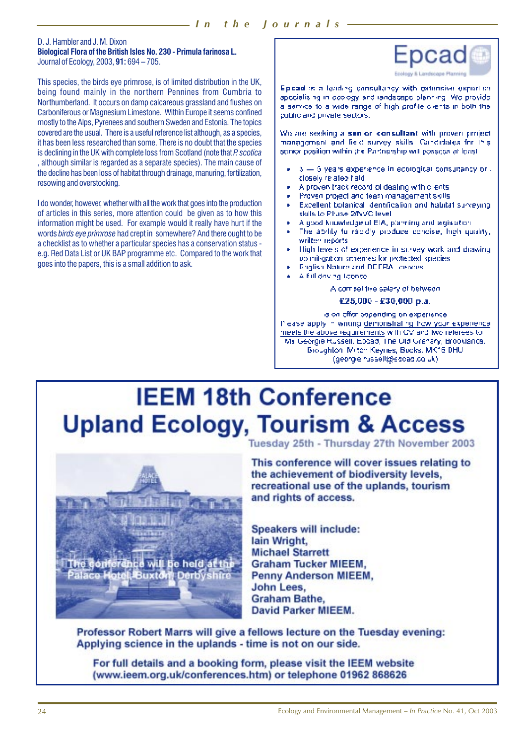### D. J. Hambler and J. M. Dixon **Biological Flora of the British Isles No. 230 - Primula farinosa L.** Journal of Ecology, 2003, **91:** 694 – 705.

This species, the birds eye primrose, is of limited distribution in the UK, being found mainly in the northern Pennines from Cumbria to Northumberland. It occurs on damp calcareous grassland and flushes on Carboniferous or Magnesium Limestone. Within Europe it seems confined mostly to the Alps, Pyrenees and southern Sweden and Estonia. The topics covered are the usual. There is a useful reference list although, as a species, it has been less researched than some. There is no doubt that the species is declining in the UK with complete loss from Scotland (note that *P. scotica* , although similar is regarded as a separate species). The main cause of the decline has been loss of habitat through drainage, manuring, fertilization, resowing and overstocking.

I do wonder, however, whether with all the work that goes into the production of articles in this series, more attention could be given as to how this information might be used. For example would it really have hurt if the words *birds eye primrose* had crept in somewhere? And there ought to be a checklist as to whether a particular species has a conservation status e.g. Red Data List or UK BAP programme etc. Compared to the work that goes into the papers, this is a small addition to ask.

Epcad

Epicad is a loading consultancy with extensive expertise. specialising in ccology and randscape planning. We provide a service to a wide range of high profile clients in both the public and private sectors.

We are seeking a sunior consultant with proven project management and field survey skills. Candidates for inissenior position within the Partnership will possess at least.

- 3 5 years experience in ecological consultancy or . closely related field
- A proven track record of dealing with clients
- Proven project and team management skills
- Excellent bolanical dentification and habitat surveying skills to Phase 2/NVC level.
- A good knowledge of EIA, planning and legislation
- The ability forrabidly produce condise, high quality, written reports
- High levels of experience in survey work and drawing up milligation americas for protected species.
- English Nature and DEFRA cences
- A full daying licence.

### A competitive salary of between

### £25,000 - £30,000 p.a.

is on offer oppending on experience. Please apply in writing demonstraling how your experience meets the above requirements with CV and two referees to Ma Georgie Russell, Epoad, The Old Granary, Brooklands, Bioughton, Milton Keynes, Bucks, MK16 DHU, (georgie russell@edcad.coluk)

# **IEEM 18th Conference Upland Ecology, Tourism & Access**



Tuesday 25th - Thursday 27th November 2003

This conference will cover issues relating to the achievement of biodiversity levels, recreational use of the uplands, tourism and rights of access.

**Speakers will include:** lain Wright. **Michael Starrett Graham Tucker MIEEM.** Penny Anderson MIEEM, John Lees. **Graham Bathe.** David Parker MIEEM.

Professor Robert Marrs will give a fellows lecture on the Tuesday evening: Applying science in the uplands - time is not on our side.

For full details and a booking form, please visit the IEEM website (www.ieem.org.uk/conferences.htm) or telephone 01962 868626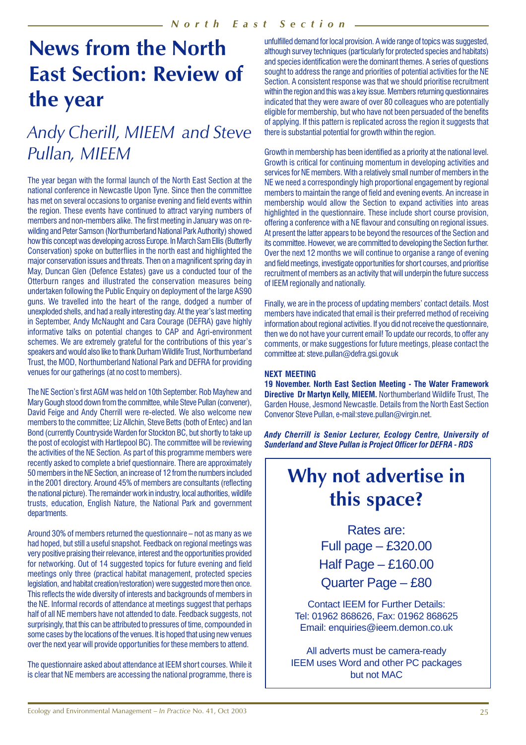## **News from the North East Section: Review of the year**

### *Andy Cherill, MIEEM and Steve Pullan, MIEEM*

The year began with the formal launch of the North East Section at the national conference in Newcastle Upon Tyne. Since then the committee has met on several occasions to organise evening and field events within the region. These events have continued to attract varying numbers of members and non-members alike. The first meeting in January was on rewilding and Peter Samson (Northumberland National Park Authority) showed how this concept was developing across Europe. In March Sam Ellis (Butterfly Conservation) spoke on butterflies in the north east and highlighted the major conservation issues and threats. Then on a magnificent spring day in May, Duncan Glen (Defence Estates) gave us a conducted tour of the Otterburn ranges and illustrated the conservation measures being undertaken following the Public Enquiry on deployment of the large AS90 guns. We travelled into the heart of the range, dodged a number of unexploded shells, and had a really interesting day. At the year's last meeting in September, Andy McNaught and Cara Courage (DEFRA) gave highly informative talks on potential changes to CAP and Agri-environment schemes. We are extremely grateful for the contributions of this year's speakers and would also like to thank Durham Wildlife Trust, Northumberland Trust, the MOD, Northumberland National Park and DEFRA for providing venues for our gatherings (at no cost to members).

The NE Section's first AGM was held on 10th September. Rob Mayhew and Mary Gough stood down from the committee, while Steve Pullan (convener), David Feige and Andy Cherrill were re-elected. We also welcome new members to the committee; Liz Allchin, Steve Betts (both of Entec) and Ian Bond (currently Countryside Warden for Stockton BC, but shortly to take up the post of ecologist with Hartlepool BC). The committee will be reviewing the activities of the NE Section. As part of this programme members were recently asked to complete a brief questionnaire. There are approximately 50 members in the NE Section, an increase of 12 from the numbers included in the 2001 directory. Around 45% of members are consultants (reflecting the national picture). The remainder work in industry, local authorities, wildlife trusts, education, English Nature, the National Park and government departments.

Around 30% of members returned the questionnaire – not as many as we had hoped, but still a useful snapshot. Feedback on regional meetings was very positive praising their relevance, interest and the opportunities provided for networking. Out of 14 suggested topics for future evening and field meetings only three (practical habitat management, protected species legislation, and habitat creation/restoration) were suggested more then once. This reflects the wide diversity of interests and backgrounds of members in the NE. Informal records of attendance at meetings suggest that perhaps half of all NE members have not attended to date. Feedback suggests, not surprisingly, that this can be attributed to pressures of time, compounded in some cases by the locations of the venues. It is hoped that using new venues over the next year will provide opportunities for these members to attend.

The questionnaire asked about attendance at IEEM short courses. While it is clear that NE members are accessing the national programme, there is

unfulfilled demand for local provision. A wide range of topics was suggested, although survey techniques (particularly for protected species and habitats) and species identification were the dominant themes. A series of questions sought to address the range and priorities of potential activities for the NE Section. A consistent response was that we should prioritise recruitment within the region and this was a key issue. Members returning questionnaires indicated that they were aware of over 80 colleagues who are potentially eligible for membership, but who have not been persuaded of the benefits of applying. If this pattern is replicated across the region it suggests that there is substantial potential for growth within the region.

Growth in membership has been identified as a priority at the national level. Growth is critical for continuing momentum in developing activities and services for NE members. With a relatively small number of members in the NE we need a correspondingly high proportional engagement by regional members to maintain the range of field and evening events. An increase in membership would allow the Section to expand activities into areas highlighted in the questionnaire. These include short course provision, offering a conference with a NE flavour and consulting on regional issues. At present the latter appears to be beyond the resources of the Section and its committee. However, we are committed to developing the Section further. Over the next 12 months we will continue to organise a range of evening and field meetings, investigate opportunities for short courses, and prioritise recruitment of members as an activity that will underpin the future success of IEEM regionally and nationally.

Finally, we are in the process of updating members' contact details. Most members have indicated that email is their preferred method of receiving information about regional activities. If you did not receive the questionnaire, then we do not have your current email! To update our records, to offer any comments, or make suggestions for future meetings, please contact the committee at: steve.pullan@defra.gsi.gov.uk

### **NEXT MEETING**

**19 November. North East Section Meeting - The Water Framework Directive Dr Martyn Kelly, MIEEM.** Northumberland Wildlife Trust, The Garden House, Jesmond Newcastle. Details from the North East Section Convenor Steve Pullan, e-mail:steve.pullan@virgin.net.

*Andy Cherrill is Senior Lecturer, Ecology Centre, University of Sunderland and Steve Pullan is Project Officer for DEFRA - RDS*

### **Why not advertise in this space?**

Rates are: Full page – £320.00 Half Page – £160.00 Quarter Page – £80

Contact IEEM for Further Details: Tel: 01962 868626, Fax: 01962 868625 Email: enquiries@ieem.demon.co.uk

All adverts must be camera-ready IEEM uses Word and other PC packages but not MAC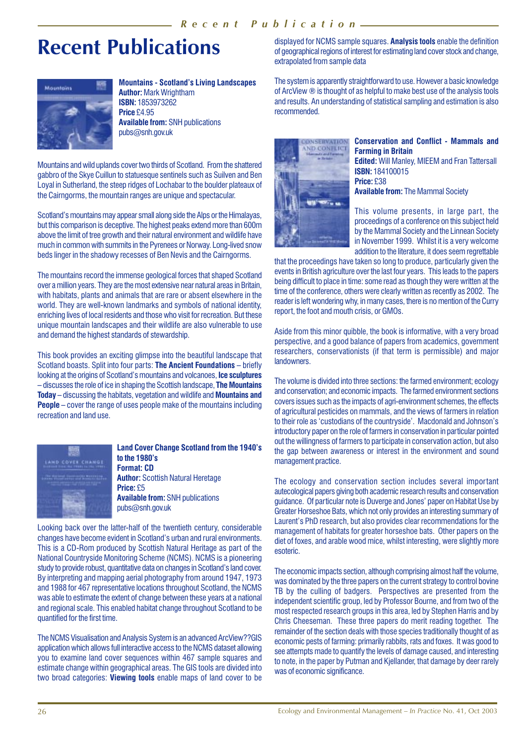## **Recent Publications**



**Mountains - Scotland's Living Landscapes Author:** Mark Wrightham **ISBN:** 1853973262 **Price** £4.95 **Available from:** SNH publications pubs@snh.gov.uk

Mountains and wild uplands cover two thirds of Scotland. From the shattered gabbro of the Skye Cuillun to statuesque sentinels such as Suilven and Ben Loyal in Sutherland, the steep ridges of Lochabar to the boulder plateaux of the Cairngorms, the mountain ranges are unique and spectacular.

Scotland's mountains may appear small along side the Alps or the Himalayas, but this comparison is deceptive. The highest peaks extend more than 600m above the limit of tree growth and their natural environment and wildlife have much in common with summits in the Pyrenees or Norway. Long-lived snow beds linger in the shadowy recesses of Ben Nevis and the Cairngorms.

The mountains record the immense geological forces that shaped Scotland over a million years. They are the most extensive near natural areas in Britain, with habitats, plants and animals that are rare or absent elsewhere in the world. They are well-known landmarks and symbols of national identity, enriching lives of local residents and those who visit for recreation. But these unique mountain landscapes and their wildlife are also vulnerable to use and demand the highest standards of stewardship.

This book provides an exciting glimpse into the beautiful landscape that Scotland boasts. Split into four parts: **The Ancient Foundations** – briefly looking at the origins of Scotland's mountains and volcanoes, **Ice sculptures** – discusses the role of ice in shaping the Scottish landscape, **The Mountains Today** – discussing the habitats, vegetation and wildlife and **Mountains and People** – cover the range of uses people make of the mountains including recreation and land use.



**Land Cover Change Scotland from the 1940's to the 1980's Format: CD Author:** Scottish Natural Heretage **Price:** £5 **Available from:** SNH publications pubs@snh.gov.uk

Looking back over the latter-half of the twentieth century, considerable changes have become evident in Scotland's urban and rural environments. This is a CD-Rom produced by Scottish Natural Heritage as part of the National Countryside Monitoring Scheme (NCMS). NCMS is a pioneering study to provide robust, quantitative data on changes in Scotland's land cover. By interpreting and mapping aerial photography from around 1947, 1973 and 1988 for 467 representative locations throughout Scotland, the NCMS was able to estimate the extent of change between these years at a national and regional scale. This enabled habitat change throughout Scotland to be quantified for the first time.

The NCMS Visualisation and Analysis System is an advanced ArcView??GIS application which allows full interactive access to the NCMS dataset allowing you to examine land cover sequences within 467 sample squares and estimate change within geographical areas. The GIS tools are divided into two broad categories: **Viewing tools** enable maps of land cover to be displayed for NCMS sample squares. **Analysis tools** enable the definition of geographical regions of interest for estimating land cover stock and change, extrapolated from sample data

The system is apparently straightforward to use. However a basic knowledge of ArcView ® is thought of as helpful to make best use of the analysis tools and results. An understanding of statistical sampling and estimation is also recommended.



**Conservation and Conflict - Mammals and Farming in Britain**

**Edited:** Will Manley, MIEEM and Fran Tattersall **ISBN:** 184100015 **Price:** £38 **Available from:** The Mammal Society

This volume presents, in large part, the proceedings of a conference on this subject held by the Mammal Society and the Linnean Society in November 1999. Whilst it is a very welcome addition to the literature, it does seem regrettable

that the proceedings have taken so long to produce, particularly given the events in British agriculture over the last four years. This leads to the papers being difficult to place in time: some read as though they were written at the time of the conference, others were clearly written as recently as 2002. The reader is left wondering why, in many cases, there is no mention of the Curry report, the foot and mouth crisis, or GMOs.

Aside from this minor quibble, the book is informative, with a very broad perspective, and a good balance of papers from academics, government researchers, conservationists (if that term is permissible) and major landowners.

The volume is divided into three sections: the farmed environment; ecology and conservation; and economic impacts. The farmed environment sections covers issues such as the impacts of agri-environment schemes, the effects of agricultural pesticides on mammals, and the views of farmers in relation to their role as 'custodians of the countryside'. Macdonald and Johnson's introductory paper on the role of farmers in conservation in particular pointed out the willingness of farmers to participate in conservation action, but also the gap between awareness or interest in the environment and sound management practice.

The ecology and conservation section includes several important autecological papers giving both academic research results and conservation guidance. Of particular note is Duverge and Jones' paper on Habitat Use by Greater Horseshoe Bats, which not only provides an interesting summary of Laurent's PhD research, but also provides clear recommendations for the management of habitats for greater horseshoe bats. Other papers on the diet of foxes, and arable wood mice, whilst interesting, were slightly more esoteric.

The economic impacts section, although comprising almost half the volume, was dominated by the three papers on the current strategy to control bovine TB by the culling of badgers. Perspectives are presented from the independent scientific group, led by Professor Bourne, and from two of the most respected research groups in this area, led by Stephen Harris and by Chris Cheeseman. These three papers do merit reading together. The remainder of the section deals with those species traditionally thought of as economic pests of farming: primarily rabbits, rats and foxes. It was good to see attempts made to quantify the levels of damage caused, and interesting to note, in the paper by Putman and Kjellander, that damage by deer rarely was of economic significance.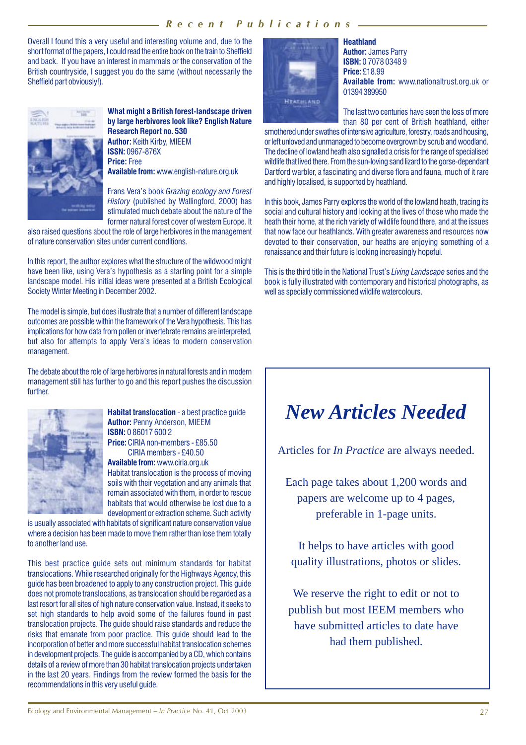### *Recent Publications*

Overall I found this a very useful and interesting volume and, due to the short format of the papers, I could read the entire book on the train to Sheffield and back. If you have an interest in mammals or the conservation of the British countryside, I suggest you do the same (without necessarily the Sheffield part obviously!).



**What might a British forest-landscape driven by large herbivores look like? English Nature Research Report no. 530 Author:** Keith Kirby, MIEEM

**ISSN:** 0967-876X **Price:** Free **Available from:** www.english-nature.org.uk

Frans Vera's book *Grazing ecology and Forest History* (published by Wallingford, 2000) has stimulated much debate about the nature of the former natural forest cover of western Europe. It

also raised questions about the role of large herbivores in the management of nature conservation sites under current conditions.

In this report, the author explores what the structure of the wildwood might have been like, using Vera's hypothesis as a starting point for a simple landscape model. His initial ideas were presented at a British Ecological Society Winter Meeting in December 2002.

The model is simple, but does illustrate that a number of different landscape outcomes are possible within the framework of the Vera hypothesis. This has implications for how data from pollen or invertebrate remains are interpreted, but also for attempts to apply Vera's ideas to modern conservation management.

The debate about the role of large herbivores in natural forests and in modern management still has further to go and this report pushes the discussion further.



**Habitat translocation** - a best practice guide **Author:** Penny Anderson, MIEEM **ISBN:** 0 86017 600 2 **Price:**CIRIA non-members - £85.50 CIRIA members - £40.50

**Available from:**www.ciria.org.uk

Habitat translocation is the process of moving soils with their vegetation and any animals that remain associated with them, in order to rescue habitats that would otherwise be lost due to a development or extraction scheme. Such activity

is usually associated with habitats of significant nature conservation value where a decision has been made to move them rather than lose them totally to another land use.

This best practice guide sets out minimum standards for habitat translocations. While researched originally for the Highways Agency, this guide has been broadened to apply to any construction project. This guide does not promote translocations, as translocation should be regarded as a last resort for all sites of high nature conservation value. Instead, it seeks to set high standards to help avoid some of the failures found in past translocation projects. The guide should raise standards and reduce the risks that emanate from poor practice. This guide should lead to the incorporation of better and more successful habitat translocation schemes in development projects. The guide is accompanied by a CD, which contains details of a review of more than 30 habitat translocation projects undertaken in the last 20 years. Findings from the review formed the basis for the recommendations in this very useful guide.



**Heathland Author:** James Parry **ISBN:** 0 7078 0348 9 **Price:** £18.99 **Available from:** www.nationaltrust.org.uk or 01394 389950

The last two centuries have seen the loss of more than 80 per cent of British heathland, either

smothered under swathes of intensive agriculture, forestry, roads and housing, or left unloved and unmanaged to become overgrown by scrub and woodland. The decline of lowland heath also signalled a crisis for the range of specialised wildlife that lived there. From the sun-loving sand lizard to the gorse-dependant Dartford warbler, a fascinating and diverse flora and fauna, much of it rare and highly localised, is supported by heathland.

In this book, James Parry explores the world of the lowland heath, tracing its social and cultural history and looking at the lives of those who made the heath their home, at the rich variety of wildlife found there, and at the issues that now face our heathlands. With greater awareness and resources now devoted to their conservation, our heaths are enjoying something of a renaissance and their future is looking increasingly hopeful.

This is the third title in the National Trust's *Living Landscape* series and the book is fully illustrated with contemporary and historical photographs, as well as specially commissioned wildlife watercolours.

## *New Articles Needed*

Articles for *In Practice* are always needed.

Each page takes about 1,200 words and papers are welcome up to 4 pages, preferable in 1-page units.

It helps to have articles with good quality illustrations, photos or slides.

We reserve the right to edit or not to publish but most IEEM members who have submitted articles to date have had them published.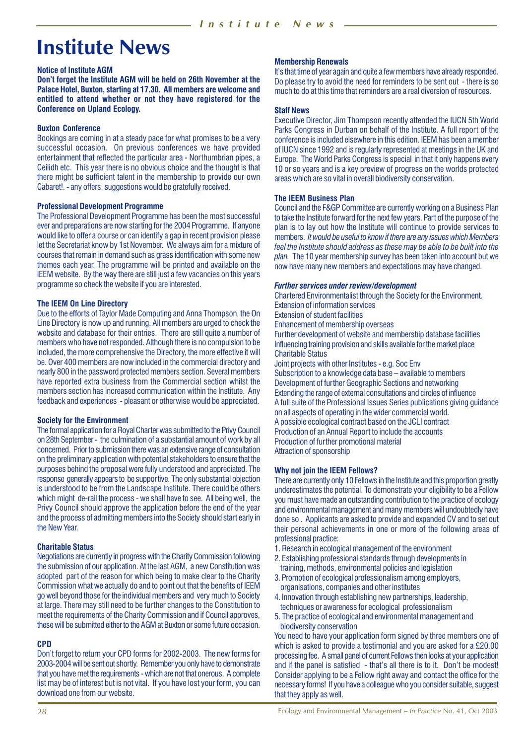## **Institute News**

### **Notice of Institute AGM**

**Don't forget the Institute AGM will be held on 26th November at the Palace Hotel, Buxton, starting at 17.30. All members are welcome and entitled to attend whether or not they have registered for the Conference on Upland Ecology.**

### **Buxton Conference**

Bookings are coming in at a steady pace for what promises to be a very successful occasion. On previous conferences we have provided entertainment that reflected the particular area - Northumbrian pipes, a Ceilidh etc. This year there is no obvious choice and the thought is that there might be sufficient talent in the membership to provide our own Cabaret!. - any offers, suggestions would be gratefully received.

### **Professional Development Programme**

The Professional Development Programme has been the most successful ever and preparations are now starting for the 2004 Programme. If anyone would like to offer a course or can identify a gap in recent provision please let the Secretariat know by 1st November. We always aim for a mixture of courses that remain in demand such as grass identification with some new themes each year. The programme will be printed and available on the IEEM website. By the way there are still just a few vacancies on this years programme so check the website if you are interested.

### **The IEEM On Line Directory**

Due to the efforts of Taylor Made Computing and Anna Thompson, the On Line Directory is now up and running. All members are urged to check the website and database for their entries. There are still quite a number of members who have not responded. Although there is no compulsion to be included, the more comprehensive the Directory, the more effective it will be. Over 400 members are now included in the commercial directory and nearly 800 in the password protected members section. Several members have reported extra business from the Commercial section whilst the members section has increased communication within the Institute. Any feedback and experiences - pleasant or otherwise would be appreciated.

### **Society for the Environment**

The formal application for a Royal Charter was submitted to the Privy Council on 28th September - the culmination of a substantial amount of work by all concerned. Prior to submission there was an extensive range of consultation on the preliminary application with potential stakeholders to ensure that the purposes behind the proposal were fully understood and appreciated. The response generally appears to be supportive. The only substantial objection is understood to be from the Landscape Institute. There could be others which might de-rail the process - we shall have to see. All being well, the Privy Council should approve the application before the end of the year and the process of admitting members into the Society should start early in the New Year.

### **Charitable Status**

Negotiations are currently in progress with the Charity Commission following the submission of our application. At the last AGM, a new Constitution was adopted part of the reason for which being to make clear to the Charity Commission what we actually do and to point out that the benefits of IEEM go well beyond those for the individual members and very much to Society at large. There may still need to be further changes to the Constitution to meet the requirements of the Charity Commission and if Council approves, these will be submitted either to the AGM at Buxton or some future occasion.

### **CPD**

Don't forget to return your CPD forms for 2002-2003. The new forms for 2003-2004 will be sent out shortly. Remember you only have to demonstrate that you have met the requirements - which are not that onerous. A complete list may be of interest but is not vital. If you have lost your form, you can download one from our website.

### **Membership Renewals**

It's that time of year again and quite a few members have already responded. Do please try to avoid the need for reminders to be sent out - there is so much to do at this time that reminders are a real diversion of resources.

### **Staff News**

Executive Director, Jim Thompson recently attended the IUCN 5th World Parks Congress in Durban on behalf of the Institute. A full report of the conference is included elsewhere in this edition. IEEM has been a member of IUCN since 1992 and is regularly represented at meetings in the UK and Europe. The World Parks Congress is special in that it only happens every 10 or so years and is a key preview of progress on the worlds protected areas which are so vital in overall biodiversity conservation.

### **The IEEM Business Plan**

Council and the F&GP Committee are currently working on a Business Plan to take the Institute forward for the next few years. Part of the purpose of the plan is to lay out how the Institute will continue to provide services to members. *It would be useful to know if there are any issues which Members feel the Institute should address as these may be able to be built into the plan.* The 10 year membership survey has been taken into account but we now have many new members and expectations may have changed.

### *Further services under review/development*

Chartered Environmentalist through the Society for the Environment. Extension of information services Extension of student facilities Enhancement of membership overseas Further development of website and membership database facilities Influencing training provision and skills available for the market place Charitable Status Joint projects with other Institutes - e.g. Soc Env Subscription to a knowledge data base – available to members Development of further Geographic Sections and networking Extending the range of external consultations and circles of influence A full suite of the Professional Issues Series publications giving guidance on all aspects of operating in the wider commercial world. A possible ecological contract based on the JCLI contract Production of an Annual Report to include the accounts

Production of further promotional material Attraction of sponsorship

### **Why not join the IEEM Fellows?**

There are currently only 10 Fellows in the Institute and this proportion greatly underestimates the potential. To demonstrate your eligibility to be a Fellow you must have made an outstanding contribution to the practice of ecology and environmental management and many members will undoubtedly have done so . Applicants are asked to provide and expanded CV and to set out their personal achievements in one or more of the following areas of professional practice:

- 1. Research in ecological management of the environment
- 2. Establishing professional standards through developments in training, methods, environmental policies and legislation
- 3. Promotion of ecological professionalism among employers, organisations, companies and other institutes
- 4. Innovation through establishing new partnerships, leadership, techniques or awareness for ecological professionalism
- 5. The practice of ecological and environmental management and biodiversity conservation

You need to have your application form signed by three members one of which is asked to provide a testimonial and you are asked for a £20.00 processing fee. A small panel of current Fellows then looks at your application and if the panel is satisfied - that's all there is to it. Don't be modest! Consider applying to be a Fellow right away and contact the office for the necessary forms! If you have a colleague who you consider suitable, suggest that they apply as well.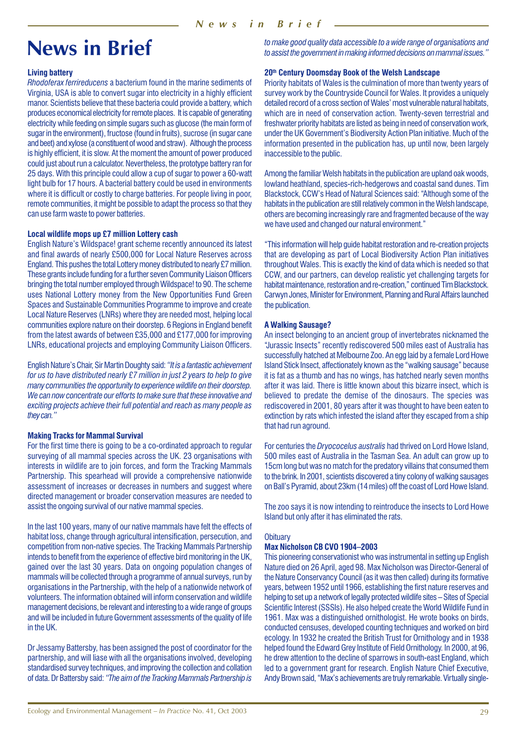## **News in Brief**

### **Living battery**

*Rhodoferax ferrireducens* a bacterium found in the marine sediments of Virginia, USA is able to convert sugar into electricity in a highly efficient manor. Scientists believe that these bacteria could provide a battery, which produces economical electricity for remote places. It is capable of generating electricity while feeding on simple sugars such as glucose (the main form of sugar in the environment), fructose (found in fruits), sucrose (in sugar cane and beet) and xylose (a constituent of wood and straw). Although the process is highly efficient, it is slow. At the moment the amount of power produced could just about run a calculator. Nevertheless, the prototype battery ran for 25 days. With this principle could allow a cup of sugar to power a 60-watt light bulb for 17 hours. A bacterial battery could be used in environments where it is difficult or costly to charge batteries. For people living in poor, remote communities, it might be possible to adapt the process so that they can use farm waste to power batteries.

### **Local wildlife mops up £7 million Lottery cash**

English Nature's Wildspace! grant scheme recently announced its latest and final awards of nearly £500,000 for Local Nature Reserves across England. This pushes the total Lottery money distributed to nearly £7 million. These grants include funding for a further seven Community Liaison Officers bringing the total number employed through Wildspace! to 90. The scheme uses National Lottery money from the New Opportunities Fund Green Spaces and Sustainable Communities Programme to improve and create Local Nature Reserves (LNRs) where they are needed most, helping local communities explore nature on their doorstep. 6 Regions in England benefit from the latest awards of between £35,000 and £177,000 for improving LNRs, educational projects and employing Community Liaison Officers.

English Nature's Chair, Sir Martin Doughty said: *"It is a fantastic achievement for us to have distributed nearly £7 million in just 2 years to help to give many communities the opportunity to experience wildlife on their doorstep. We can now concentrate our efforts to make sure that these innovative and exciting projects achieve their full potential and reach as many people as they can."*

### **Making Tracks for Mammal Survival**

For the first time there is going to be a co-ordinated approach to regular surveying of all mammal species across the UK. 23 organisations with interests in wildlife are to join forces, and form the Tracking Mammals Partnership. This spearhead will provide a comprehensive nationwide assessment of increases or decreases in numbers and suggest where directed management or broader conservation measures are needed to assist the ongoing survival of our native mammal species.

In the last 100 years, many of our native mammals have felt the effects of habitat loss, change through agricultural intensification, persecution, and competition from non-native species. The Tracking Mammals Partnership intends to benefit from the experience of effective bird monitoring in the UK, gained over the last 30 years. Data on ongoing population changes of mammals will be collected through a programme of annual surveys, run by organisations in the Partnership, with the help of a nationwide network of volunteers. The information obtained will inform conservation and wildlife management decisions, be relevant and interesting to a wide range of groups and will be included in future Government assessments of the quality of life in the UK.

Dr Jessamy Battersby, has been assigned the post of coordinator for the partnership, and will liase with all the organisations involved, developing standardised survey techniques, and improving the collection and collation of data. Dr Battersby said: *"The aim of the Tracking Mammals Partnership is* *to make good quality data accessible to a wide range of organisations and to assist the government in making informed decisions on mammal issues."*

### **20th Century Doomsday Book of the Welsh Landscape**

Priority habitats of Wales is the culmination of more than twenty years of survey work by the Countryside Council for Wales. It provides a uniquely detailed record of a cross section of Wales' most vulnerable natural habitats, which are in need of conservation action. Twenty-seven terrestrial and freshwater priority habitats are listed as being in need of conservation work, under the UK Government's Biodiversity Action Plan initiative. Much of the information presented in the publication has, up until now, been largely inaccessible to the public.

Among the familiar Welsh habitats in the publication are upland oak woods, lowland heathland, species-rich-hedgerows and coastal sand dunes. Tim Blackstock, CCW's Head of Natural Sciences said: "Although some of the habitats in the publication are still relatively common in the Welsh landscape, others are becoming increasingly rare and fragmented because of the way we have used and changed our natural environment."

"This information will help guide habitat restoration and re-creation projects that are developing as part of Local Biodiversity Action Plan initiatives throughout Wales. This is exactly the kind of data which is needed so that CCW, and our partners, can develop realistic yet challenging targets for habitat maintenance, restoration and re-creation," continued Tim Blackstock. Carwyn Jones, Minister for Environment, Planning and Rural Affairs launched the publication.

### **A Walking Sausage?**

An insect belonging to an ancient group of invertebrates nicknamed the "Jurassic Insects" recently rediscovered 500 miles east of Australia has successfully hatched at Melbourne Zoo. An egg laid by a female Lord Howe Island Stick Insect, affectionately known as the "walking sausage" because it is fat as a thumb and has no wings, has hatched nearly seven months after it was laid. There is little known about this bizarre insect, which is believed to predate the demise of the dinosaurs. The species was rediscovered in 2001, 80 years after it was thought to have been eaten to extinction by rats which infested the island after they escaped from a ship that had run aground.

For centuries the *Dryococelus australis* had thrived on Lord Howe Island, 500 miles east of Australia in the Tasman Sea. An adult can grow up to 15cm long but was no match for the predatory villains that consumed them to the brink. In 2001, scientists discovered a tiny colony of walking sausages on Ball's Pyramid, about 23km (14 miles) off the coast of Lord Howe Island.

The zoo says it is now intending to reintroduce the insects to Lord Howe Island but only after it has eliminated the rats.

### **Obituary**

### **Max Nicholson CB CVO 1904–2003**

This pioneering conservationist who was instrumental in setting up English Nature died on 26 April, aged 98. Max Nicholson was Director-General of the Nature Conservancy Council (as it was then called) during its formative years, between 1952 until 1966, establishing the first nature reserves and helping to set up a network of legally protected wildlife sites – Sites of Special Scientific Interest (SSSIs). He also helped create the World Wildlife Fund in 1961. Max was a distinguished ornithologist. He wrote books on birds, conducted censuses, developed counting techniques and worked on bird ecology. In 1932 he created the British Trust for Ornithology and in 1938 helped found the Edward Grey Institute of Field Ornithology. In 2000, at 96, he drew attention to the decline of sparrows in south-east England, which led to a government grant for research. English Nature Chief Executive, Andy Brown said, "Max's achievements are truly remarkable. Virtually single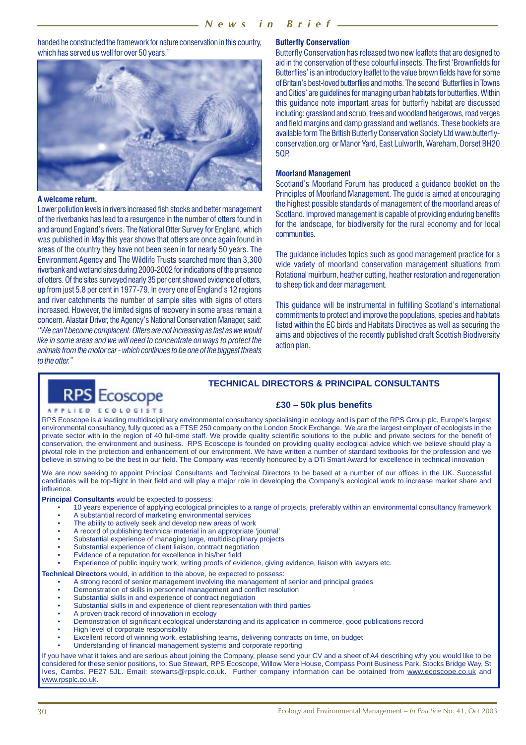handed he constructed the framework for nature conservation in this country, which has served us well for over 50 years."



### **A welcome return.**

Lower pollution levels in rivers increased fish stocks and better management of the riverbanks has lead to a resurgence in the number of otters found in and around England's rivers. The National Otter Survey for England, which was published in May this year shows that otters are once again found in areas of the country they have not been seen in for nearly 50 years. The Environment Agency and The Wildlife Trusts searched more than 3,300 riverbank and wetland sites during 2000-2002 for indications of the presence of otters. Of the sites surveyed nearly 35 per cent showed evidence of otters, up from just 5.8 per cent in 1977-79. In every one of England's 12 regions and river catchments the number of sample sites with signs of otters increased. However, the limited signs of recovery in some areas remain a concern. Alastair Driver, the Agency's National Conservation Manager, said: *"We can't become complacent. Otters are not increasing as fast as we would like in some areas and we will need to concentrate on ways to protect the animals from the motor car - which continues to be one of the biggest threats to the otter."*

#### **Butterfly Conservation**

Butterfly Conservation has released two new leaflets that are designed to aid in the conservation of these colourful insects. The first 'Brownfields for Butterflies' is an introductory leaflet to the value brown fields have for some of Britain's best-loved butterflies and moths. The second 'Butterflies in Towns and Cities' are guidelines for managing urban habitats for butterflies. Within this guidance note important areas for butterfly habitat are discussed including: grassland and scrub, trees and woodland hedgerows, road verges and field margins and damp grassland and wetlands. These booklets are available form The British Butterfly Conservation Society Ltd www.butterflyconservation.org or Manor Yard, East Lulworth, Wareham, Dorset BH20 5QP.

### **Moorland Management**

Scotland's Moorland Forum has produced a guidance booklet on the Principles of Moorland Management. The guide is aimed at encouraging the highest possible standards of management of the moorland areas of Scotland. Improved management is capable of providing enduring benefits for the landscape, for biodiversity for the rural economy and for local communities.

The guidance includes topics such as good management practice for a wide variety of moorland conservation management situations from Rotational muirburn, heather cutting, heather restoration and regeneration to sheep tick and deer management.

This guidance will be instrumental in fulfilling Scotland's international commitments to protect and improve the populations, species and habitats listed within the EC birds and Habitats Directives as well as securing the aims and objectives of the recently published draft Scottish Biodiversity action plan.

### **TECHNICAL DIRECTORS & PRINCIPAL CONSULTANTS**

### **Ecoscope** APPLIED ECOLOGISTS

### **£30 – 50k plus benefits**

RPS Ecoscope is a leading multidisciplinary environmental consultancy specialising in ecology and is part of the RPS Group plc, Europe's largest environmental consultancy, fully quoted as a FTSE 250 company on the London Stock Exchange. We are the largest employer of ecologists in the private sector with in the region of 40 full-time staff. We provide quality scientific solutions to the public and private sectors for the benefit of conservation, the environment and business. RPS Ecoscope is founded on providing quality ecological advice which we believe should play a pivotal role in the protection and enhancement of our environment. We have written a number of standard textbooks for the profession and we believe in striving to be the best in our field. The Company was recently honoured by a DTi Smart Award for excellence in technical innovation

We are now seeking to appoint Principal Consultants and Technical Directors to be based at a number of our offices in the UK. Successful candidates will be top-flight in their field and will play a major role in developing the Company's ecological work to increase market share and influence.

**Principal Consultants** would be expected to possess:

- 10 years experience of applying ecological principles to a range of projects, preferably within an environmental consultancy framework
- A substantial record of marketing environmental services
- The ability to actively seek and develop new areas of work
- A record of publishing technical material in an appropriate 'journal'
- Substantial experience of managing large, multidisciplinary projects
- Substantial experience of client liaison, contract negotiation
- Evidence of a reputation for excellence in his/her field
- Experience of public inquiry work, writing proofs of evidence, giving evidence, liaison with lawyers etc.

**Technical Directors** would, in addition to the above, be expected to possess:

- A strong record of senior management involving the management of senior and principal grades
- Demonstration of skills in personnel management and conflict resolution
- Substantial skills in and experience of contract negotiation
- Substantial skills in and experience of client representation with third parties
- A proven track record of innovation in ecology
- Demonstration of significant ecological understanding and its application in commerce, good publications record
- High level of corporate responsibility
- Excellent record of winning work, establishing teams, delivering contracts on time, on budget
- Understanding of financial management systems and corporate reporting

If you have what it takes and are serious about joining the Company, please send your CV and a sheet of A4 describing why you would like to be considered for these senior positions, to: Sue Stewart, RPS Ecoscope, Willow Mere House, Compass Point Business Park, Stocks Bridge Way, St Ives, Cambs. PE27 5JL. Email: stewarts@rpsplc.co.uk. Further company information can be obtained from www.ecoscope.co.uk and www.rpsplc.co.uk.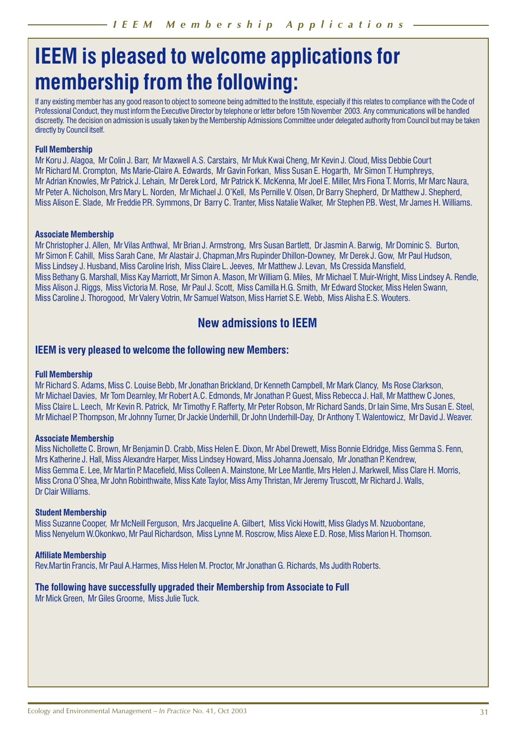## **IEEM is pleased to welcome applications for membership from the following:**

If any existing member has any good reason to object to someone being admitted to the Institute, especially if this relates to compliance with the Code of Professional Conduct, they must inform the Executive Director by telephone or letter before 15th November 2003. Any communications will be handled discreetly. The decision on admission is usually taken by the Membership Admissions Committee under delegated authority from Council but may be taken directly by Council itself.

### **Full Membership**

Mr Koru J. Alagoa, Mr Colin J. Barr, Mr Maxwell A.S. Carstairs, Mr Muk Kwai Cheng, Mr Kevin J. Cloud, Miss Debbie Court Mr Richard M. Crompton, Ms Marie-Claire A. Edwards, Mr Gavin Forkan, Miss Susan E. Hogarth, Mr Simon T. Humphreys, Mr Adrian Knowles, Mr Patrick J. Lehain, Mr Derek Lord, Mr Patrick K. McKenna, Mr Joel E. Miller, Mrs Fiona T. Morris, Mr Marc Naura, Mr Peter A. Nicholson, Mrs Mary L. Norden, Mr Michael J. O'Kell, Ms Pernille V. Olsen, Dr Barry Shepherd, Dr Matthew J. Shepherd, Miss Alison E. Slade, Mr Freddie P.R. Symmons, Dr Barry C. Tranter, Miss Natalie Walker, Mr Stephen P.B. West, Mr James H. Williams.

### **Associate Membership**

Mr Christopher J. Allen, Mr Vilas Anthwal, Mr Brian J. Armstrong, Mrs Susan Bartlett, Dr Jasmin A. Barwig, Mr Dominic S. Burton, Mr Simon F. Cahill, Miss Sarah Cane, Mr Alastair J. Chapman,Mrs Rupinder Dhillon-Downey, Mr Derek J. Gow, Mr Paul Hudson, Miss Lindsey J. Husband, Miss Caroline Irish, Miss Claire L. Jeeves, Mr Matthew J. Levan, Ms Cressida Mansfield, Miss Bethany G. Marshall, Miss Kay Marriott, Mr Simon A. Mason, Mr William G. Miles, Mr Michael T. Muir-Wright, Miss Lindsey A. Rendle, Miss Alison J. Riggs, Miss Victoria M. Rose, Mr Paul J. Scott, Miss Camilla H.G. Smith, Mr Edward Stocker, Miss Helen Swann, Miss Caroline J. Thorogood, Mr Valery Votrin, Mr Samuel Watson, Miss Harriet S.E. Webb, Miss Alisha E.S. Wouters.

### **New admissions to IEEM**

### **IEEM is very pleased to welcome the following new Members:**

### **Full Membership**

Mr Richard S. Adams, Miss C. Louise Bebb, Mr Jonathan Brickland, Dr Kenneth Campbell, Mr Mark Clancy, Ms Rose Clarkson, Mr Michael Davies, Mr Tom Dearnley, Mr Robert A.C. Edmonds, Mr Jonathan P. Guest, Miss Rebecca J. Hall, Mr Matthew C Jones, Miss Claire L. Leech, Mr Kevin R. Patrick, Mr Timothy F. Rafferty, Mr Peter Robson, Mr Richard Sands, Dr Iain Sime, Mrs Susan E. Steel, Mr Michael P. Thompson, Mr Johnny Turner, Dr Jackie Underhill, Dr John Underhill-Day, Dr Anthony T. Walentowicz, Mr David J. Weaver.

### **Associate Membership**

Miss Nichollette C. Brown, Mr Benjamin D. Crabb, Miss Helen E. Dixon, Mr Abel Drewett, Miss Bonnie Eldridge, Miss Gemma S. Fenn, Mrs Katherine J. Hall, Miss Alexandre Harper, Miss Lindsey Howard, Miss Johanna Joensalo, Mr Jonathan P. Kendrew, Miss Gemma E. Lee, Mr Martin P. Macefield, Miss Colleen A. Mainstone, Mr Lee Mantle, Mrs Helen J. Markwell, Miss Clare H. Morris, Miss Crona O'Shea, Mr John Robinthwaite, Miss Kate Taylor, Miss Amy Thristan, Mr Jeremy Truscott, Mr Richard J. Walls, Dr Clair Williams.

### **Student Membership**

Miss Suzanne Cooper, Mr McNeill Ferguson, Mrs Jacqueline A. Gilbert, Miss Vicki Howitt, Miss Gladys M. Nzuobontane, Miss Nenyelum W.Okonkwo, Mr Paul Richardson, Miss Lynne M. Roscrow, Miss Alexe E.D. Rose, Miss Marion H. Thomson.

### **Affiliate Membership**

Rev.Martin Francis, Mr Paul A.Harmes, Miss Helen M. Proctor, Mr Jonathan G. Richards, Ms Judith Roberts.

### **The following have successfully upgraded their Membership from Associate to Full**

Mr Mick Green, Mr Giles Groome, Miss Julie Tuck.